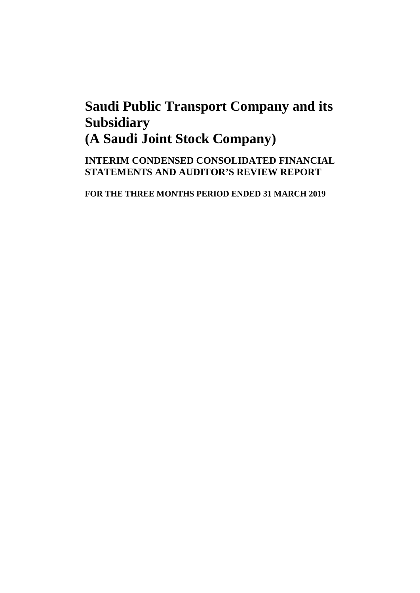**INTERIM CONDENSED CONSOLIDATED FINANCIAL STATEMENTS AND AUDITOR'S REVIEW REPORT**

**FOR THE THREE MONTHS PERIOD ENDED 31 MARCH 2019**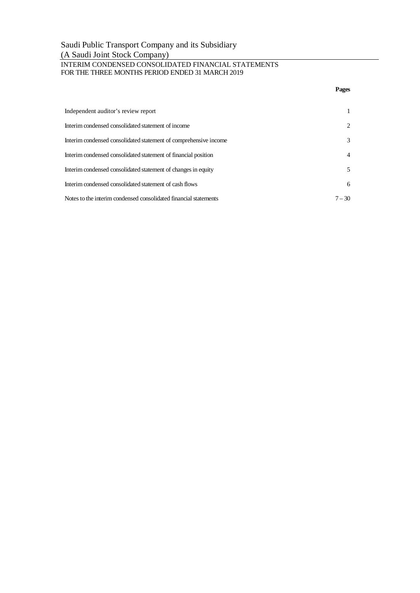# INTERIM CONDENSED CONSOLIDATED FINANCIAL STATEMENTS FOR THE THREE MONTHS PERIOD ENDED 31 MARCH 2019

|                                                                  | Pages          |
|------------------------------------------------------------------|----------------|
| Independent auditor's review report                              |                |
| Interim condensed consolidated statement of income               | 2              |
| Interim condensed consolidated statement of comprehensive income | 3              |
| Interim condensed consolidated statement of financial position   | $\overline{4}$ |
| Interim condensed consolidated statement of changes in equity    | 5              |
| Interim condensed consolidated statement of cash flows           | 6              |
| Notes to the interim condensed consolidated financial statements | $7 - 30$       |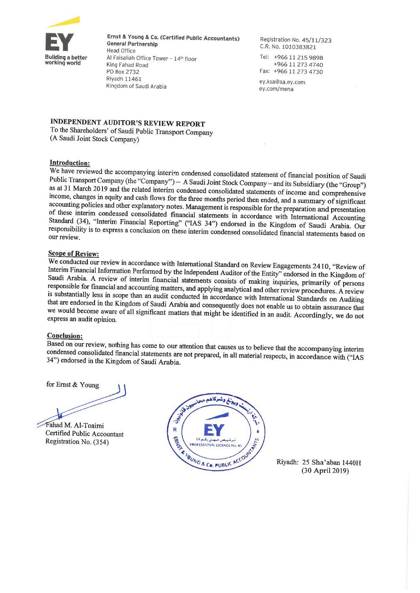

Ernst & Young & Co. (Certified Public Accountants) **General Partnership Head Office** Al Faisaliah Office Tower - 14th floor King Fahad Road PO Box 2732 Riyadh 11461 Kingdom of Saudi Arabia

Registration No. 45/11/323 C.R. No. 1010383821

Tel: +966 11 215 9898 +966 11 273 4740 Fax: +966 11 273 4730

ey.ksa@sa.ev.com ey.com/mena

# **INDEPENDENT AUDITOR'S REVIEW REPORT**

To the Shareholders' of Saudi Public Transport Company (A Saudi Joint Stock Company)

# **Introduction:**

We have reviewed the accompanying interim condensed consolidated statement of financial position of Saudi Public Transport Company (the "Company") - A Saudi Joint Stock Company - and its Subsidiary (the "Group") as at 31 March 2019 and the related interim condensed consolidated statements of income and comprehensive income, changes in equity and cash flows for the three months period then ended, and a summary of significant accounting policies and other explanatory notes. Management is responsible for the preparation and presentation of these interim condensed consolidated financial statements in accordance with International Accounting Standard (34), "Interim Financial Reporting" ("IAS 34") endorsed in the Kingdom of Saudi Arabia. Our responsibility is to express a conclusion on these interim condensed consolidated financial statements based on our review

# **Scope of Review:**

We conducted our review in accordance with International Standard on Review Engagements 2410, "Review of Interim Financial Information Performed by the Independent Auditor of the Entity" endorsed in the Kingdom of Saudi Arabia. A review of interim financial statements consists of making inquiries, primarily of persons responsible for financial and accounting matters, and applying analytical and other review procedures. A review is substantially less in scope than an audit conducted in accordance with International Standards on Auditing that are endorsed in the Kingdom of Saudi Arabia and consequently does not enable us to obtain assurance that we would become aware of all significant matters that might be identified in an audit. Accordingly, we do not express an audit opinion.

# **Conclusion:**

Based on our review, nothing has come to our attention that causes us to believe that the accompanying interim condensed consolidated financial statements are not prepared, in all material respects, in accordance with ("IAS 34") endorsed in the Kingdom of Saudi Arabia.

for Ernst & Young

Fahad M. Al-Toaimi Certified Public Accountant Registration No. (354)



Riyadh: 25 Sha'aban 1440H (30 April 2019)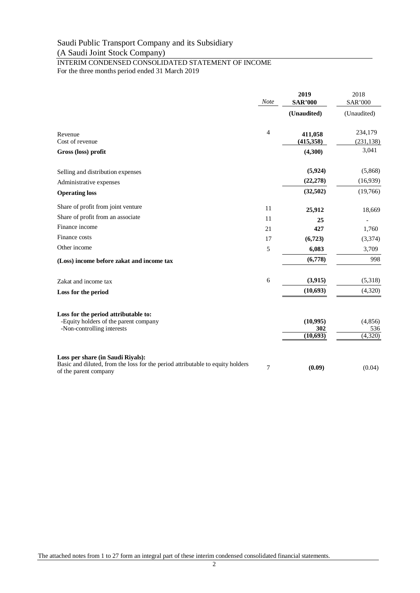# INTERIM CONDENSED CONSOLIDATED STATEMENT OF INCOME For the three months period ended 31 March 2019

|                                                                                                         | <b>Note</b> | 2019<br><b>SAR'000</b> | 2018<br><b>SAR'000</b> |
|---------------------------------------------------------------------------------------------------------|-------------|------------------------|------------------------|
|                                                                                                         |             | (Unaudited)            | (Unaudited)            |
| Revenue                                                                                                 | 4           | 411,058                | 234,179                |
| Cost of revenue                                                                                         |             | (415, 358)             | (231, 138)             |
| Gross (loss) profit                                                                                     |             | (4,300)                | 3,041                  |
| Selling and distribution expenses                                                                       |             | (5,924)                | (5,868)                |
| Administrative expenses                                                                                 |             | (22, 278)              | (16,939)               |
| <b>Operating loss</b>                                                                                   |             | (32,502)               | (19,766)               |
| Share of profit from joint venture                                                                      | 11          | 25,912                 | 18,669                 |
| Share of profit from an associate                                                                       | 11          | 25                     |                        |
| Finance income                                                                                          | 21          | 427                    | 1,760                  |
| Finance costs                                                                                           | 17          | (6,723)                | (3,374)                |
| Other income                                                                                            | 5           | 6,083                  | 3,709                  |
| (Loss) income before zakat and income tax                                                               |             | (6,778)                | 998                    |
| Zakat and income tax                                                                                    | 6           | (3,915)                | (5,318)                |
| Loss for the period                                                                                     |             | (10,693)               | (4,320)                |
| Loss for the period attributable to:                                                                    |             |                        |                        |
| -Equity holders of the parent company                                                                   |             | (10, 995)              | (4,856)                |
| -Non-controlling interests                                                                              |             | 302                    | 536                    |
|                                                                                                         |             | (10, 693)              | (4,320)                |
| Loss per share (in Saudi Riyals):                                                                       |             |                        |                        |
| Basic and diluted, from the loss for the period attributable to equity holders<br>of the parent company | 7           | (0.09)                 | (0.04)                 |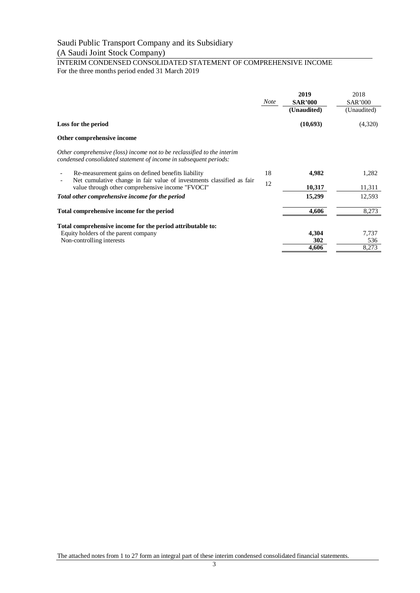# INTERIM CONDENSED CONSOLIDATED STATEMENT OF COMPREHENSIVE INCOME For the three months period ended 31 March 2019

|                                                                                                                                              | <b>Note</b> | 2019<br><b>SAR'000</b><br>(Unaudited) | 2018<br><b>SAR'000</b><br>(Unaudited) |
|----------------------------------------------------------------------------------------------------------------------------------------------|-------------|---------------------------------------|---------------------------------------|
| Loss for the period                                                                                                                          |             | (10,693)                              | (4,320)                               |
| Other comprehensive income                                                                                                                   |             |                                       |                                       |
| Other comprehensive (loss) income not to be reclassified to the interim<br>condensed consolidated statement of income in subsequent periods: |             |                                       |                                       |
| Re-measurement gains on defined benefits liability                                                                                           | 18          | 4,982                                 | 1,282                                 |
| Net cumulative change in fair value of investments classified as fair<br>value through other comprehensive income "FVOCI"                    |             | 10,317                                | 11,311                                |
| Total other comprehensive income for the period                                                                                              |             | 15,299                                | 12,593                                |
| Total comprehensive income for the period                                                                                                    |             | 4,606                                 | 8,273                                 |
| Total comprehensive income for the period attributable to:                                                                                   |             |                                       |                                       |
| Equity holders of the parent company                                                                                                         |             | 4,304                                 | 7,737                                 |
| Non-controlling interests                                                                                                                    |             | 302                                   | 536                                   |
|                                                                                                                                              |             | 4,606                                 | 8,273                                 |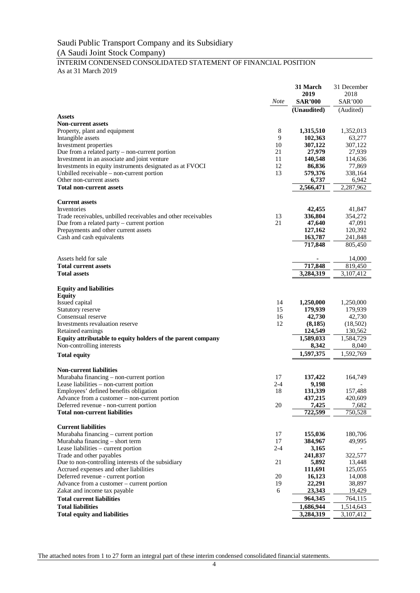# INTERIM CONDENSED CONSOLIDATED STATEMENT OF FINANCIAL POSITION As at 31 March 2019

|                                                                                                               |               | 31 March               | 31 December            |
|---------------------------------------------------------------------------------------------------------------|---------------|------------------------|------------------------|
|                                                                                                               |               | 2019                   | 2018                   |
|                                                                                                               | <b>Note</b>   | <b>SAR'000</b>         | <b>SAR'000</b>         |
| <b>Assets</b>                                                                                                 |               | (Unaudited)            | (Audited)              |
| <b>Non-current assets</b>                                                                                     |               |                        |                        |
| Property, plant and equipment                                                                                 | 8             | 1,315,510              | 1,352,013              |
| Intangible assets                                                                                             | 9             | 102,363                | 63,277                 |
| Investment properties                                                                                         | 10            | 307,122                | 307,122                |
| Due from a related party $-$ non-current portion                                                              | 21            | 27,979                 | 27,939                 |
| Investment in an associate and joint venture<br>Investments in equity instruments designated as at FVOCI      | 11<br>12      | 140,548<br>86,836      | 114,636<br>77,869      |
| Unbilled receivable – non-current portion                                                                     | 13            | 579,376                | 338,164                |
| Other non-current assets                                                                                      |               | 6,737                  | 6,942                  |
| <b>Total non-current assets</b>                                                                               |               | 2,566,471              | 2,287,962              |
|                                                                                                               |               |                        |                        |
| <b>Current assets</b>                                                                                         |               |                        |                        |
| Inventories                                                                                                   | 13            | 42,455                 | 41,847                 |
| Trade receivables, unbilled receivables and other receivables<br>Due from a related party $-$ current portion | 21            | 336,804<br>47,640      | 354,272<br>47,091      |
| Prepayments and other current assets                                                                          |               | 127,162                | 120,392                |
| Cash and cash equivalents                                                                                     |               | 163,787                | 241,848                |
|                                                                                                               |               | 717,848                | 805,450                |
|                                                                                                               |               |                        |                        |
| Assets held for sale<br><b>Total current assets</b>                                                           |               | 717,848                | 14,000<br>819,450      |
| <b>Total assets</b>                                                                                           |               | 3,284,319              | 3,107,412              |
|                                                                                                               |               |                        |                        |
| <b>Equity and liabilities</b>                                                                                 |               |                        |                        |
| <b>Equity</b>                                                                                                 |               |                        |                        |
| Issued capital                                                                                                | 14            | 1,250,000              | 1,250,000              |
| Statutory reserve                                                                                             | 15            | 179,939                | 179,939                |
| Consensual reserve<br>Investments revaluation reserve                                                         | 16<br>12      | 42,730<br>(8,185)      | 42,730<br>(18,502)     |
| Retained earnings                                                                                             |               | 124,549                | 130,562                |
| Equity attributable to equity holders of the parent company                                                   |               | 1,589,033              | 1,584,729              |
| Non-controlling interests                                                                                     |               | 8,342                  | 8,040                  |
| <b>Total equity</b>                                                                                           |               | 1,597,375              | 1,592,769              |
|                                                                                                               |               |                        |                        |
| <b>Non-current liabilities</b>                                                                                |               |                        |                        |
| Murabaha financing – non-current portion                                                                      | 17            | 137,422                | 164,749                |
| Lease liabilities - non-current portion<br>Employees' defined benefits obligation                             | $2 - 4$<br>18 | 9,198<br>131,339       | 157,488                |
| Advance from a customer – non-current portion                                                                 |               | 437,215                | 420,609                |
| Deferred revenue - non-current portion                                                                        | 20            | 7,425                  | 7,682                  |
| <b>Total non-current liabilities</b>                                                                          |               | 722,599                | 750,528                |
|                                                                                                               |               |                        |                        |
| <b>Current liabilities</b>                                                                                    | 17            |                        | 180,706                |
| Murabaha financing - current portion<br>Murabaha financing - short term                                       | 17            | 155,036<br>384,967     | 49,995                 |
| Lease liabilities - current portion                                                                           | $2 - 4$       | 3,165                  |                        |
| Trade and other payables                                                                                      |               | 241,837                | 322,577                |
| Due to non-controlling interests of the subsidiary                                                            | 21            | 5,892                  | 13,448                 |
| Accrued expenses and other liabilities                                                                        |               | 111,691                | 125,055                |
| Deferred revenue - current portion                                                                            | 20            | 16,123                 | 14,008                 |
| Advance from a customer – current portion                                                                     | 19            | 22,291                 | 38,897                 |
| Zakat and income tax payable                                                                                  | 6             | 23,343                 | 19,429                 |
| <b>Total current liabilities</b>                                                                              |               | 964,345                | 764,115                |
| <b>Total liabilities</b><br><b>Total equity and liabilities</b>                                               |               | 1,686,944<br>3,284,319 | 1,514,643<br>3,107,412 |
|                                                                                                               |               |                        |                        |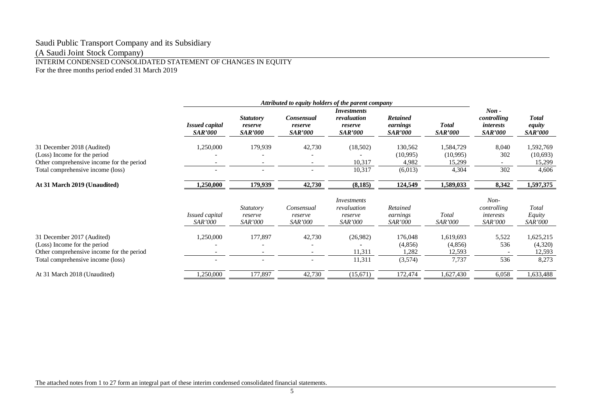INTERIM CONDENSED CONSOLIDATED STATEMENT OF CHANGES IN EQUITY For the three months period ended 31 March 2019

|                                                                                                                                              | Attributed to equity holders of the parent company |                                               |                                         |                                                                |                                               |                                          |                                                              |                                          |
|----------------------------------------------------------------------------------------------------------------------------------------------|----------------------------------------------------|-----------------------------------------------|-----------------------------------------|----------------------------------------------------------------|-----------------------------------------------|------------------------------------------|--------------------------------------------------------------|------------------------------------------|
|                                                                                                                                              | <b>Issued capital</b><br><i>SAR'000</i>            | <b>Statutory</b><br>reserve<br><b>SAR'000</b> | Consensual<br>reserve<br><b>SAR'000</b> | <i>Investments</i><br>revaluation<br>reserve<br><b>SAR'000</b> | <b>Retained</b><br>earnings<br><b>SAR'000</b> | <b>Total</b><br><b>SAR'000</b>           | $Non -$<br>controlling<br><i>interests</i><br><b>SAR'000</b> | <b>Total</b><br>equity<br><b>SAR'000</b> |
| 31 December 2018 (Audited)<br>(Loss) Income for the period<br>Other comprehensive income for the period<br>Total comprehensive income (loss) | 1,250,000                                          | 179,939                                       | 42,730                                  | (18,502)<br>10,317<br>10,317                                   | 130,562<br>(10,995)<br>4,982<br>(6,013)       | 1,584,729<br>(10,995)<br>15,299<br>4,304 | 8,040<br>302<br>302                                          | 1,592,769<br>(10,693)<br>15,299<br>4,606 |
| At 31 March 2019 (Unaudited)                                                                                                                 | 1,250,000                                          | 179,939                                       | 42,730                                  | (8,185)                                                        | 124,549                                       | 1,589,033                                | 8,342                                                        | 1,597,375                                |
|                                                                                                                                              | Issued capital<br><i>SAR'000</i>                   | <i>Statutory</i><br>reserve<br><i>SAR'000</i> | Consensual<br>reserve<br><i>SAR'000</i> | <i>Investments</i><br>revaluation<br>reserve<br><b>SAR'000</b> | Retained<br>earnings<br><i>SAR'000</i>        | Total<br><b>SAR'000</b>                  | $Non-$<br>controlling<br>interests<br>SAR'000                | Total<br>Equity<br><i>SAR'000</i>        |
| 31 December 2017 (Audited)<br>(Loss) Income for the period<br>Other comprehensive income for the period<br>Total comprehensive income (loss) | 1,250,000                                          | 177,897                                       | 42,730                                  | (26,982)<br>11,311<br>11,311                                   | 176,048<br>(4,856)<br>1,282<br>(3,574)        | 1,619,693<br>(4,856)<br>12,593<br>7,737  | 5,522<br>536<br>536                                          | 1,625,215<br>(4,320)<br>12,593<br>8,273  |
| At 31 March 2018 (Unaudited)                                                                                                                 | ,250,000                                           | 177,897                                       | 42,730                                  | (15,671)                                                       | 172,474                                       | 1,627,430                                | 6,058                                                        | 1,633,488                                |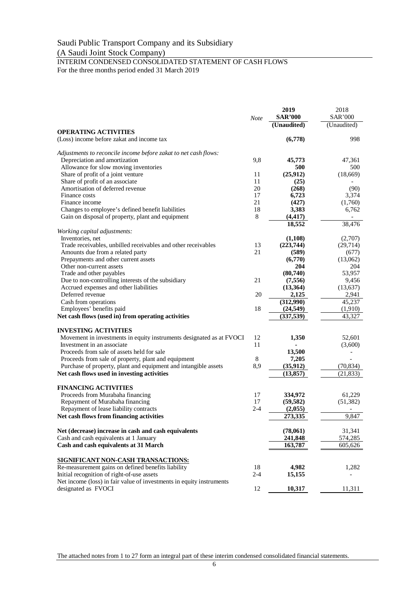# Saudi Public Transport Company and its Subsidiary

# (A Saudi Joint Stock Company)

INTERIM CONDENSED CONSOLIDATED STATEMENT OF CASH FLOWS For the three months period ended 31 March 2019

|                                                                      | <b>Note</b> | 2019<br><b>SAR'000</b><br>(Unaudited) | 2018<br><b>SAR'000</b><br>(Unaudited) |
|----------------------------------------------------------------------|-------------|---------------------------------------|---------------------------------------|
| <b>OPERATING ACTIVITIES</b>                                          |             |                                       |                                       |
| (Loss) income before zakat and income tax                            |             | (6,778)                               | 998                                   |
| Adjustments to reconcile income before zakat to net cash flows:      |             |                                       |                                       |
| Depreciation and amortization                                        | 9,8         | 45,773                                | 47,361                                |
| Allowance for slow moving inventories                                |             | 500                                   | 500                                   |
| Share of profit of a joint venture                                   | 11          | (25,912)                              | (18,669)                              |
| Share of profit of an associate                                      | 11          | (25)                                  |                                       |
| Amortisation of deferred revenue                                     | 20          | (268)                                 | (90)                                  |
| Finance costs                                                        | 17          | 6,723                                 | 3,374                                 |
| Finance income                                                       | 21          | (427)                                 | (1,760)                               |
| Changes to employee's defined benefit liabilities                    | 18          | 3,383                                 | 6,762                                 |
| Gain on disposal of property, plant and equipment                    | 8           | (4, 417)                              |                                       |
| Working capital adjustments:                                         |             | 18,552                                | 38,476                                |
| Inventories, net                                                     |             | (1, 108)                              | (2,707)                               |
| Trade receivables, unbilled receivables and other receivables        | 13          | (223,744)                             | (29,714)                              |
| Amounts due from a related party                                     | 21          | (589)                                 | (677)                                 |
| Prepayments and other current assets                                 |             | (6,770)                               | (13,062)                              |
| Other non-current assets                                             |             | 204                                   | 204                                   |
| Trade and other payables                                             |             | (80,740)                              | 53,957                                |
| Due to non-controlling interests of the subsidiary                   | 21          | (7, 556)                              | 9,456                                 |
| Accrued expenses and other liabilities                               |             | (13, 364)                             | (13, 637)                             |
| Deferred revenue                                                     | 20          | 2,125                                 | 2,941                                 |
| Cash from operations                                                 |             | (312,990)                             | 45,237                                |
| Employees' benefits paid                                             | 18          | (24, 549)                             | (1,910)                               |
| Net cash flows (used in) from operating activities                   |             | (337, 539)                            | 43,327                                |
| <b>INVESTING ACTIVITIES</b>                                          |             |                                       |                                       |
| Movement in investments in equity instruments designated as at FVOCI | 12          | 1,350                                 | 52,601                                |
| Investment in an associate.                                          | 11          |                                       | (3,600)                               |
| Proceeds from sale of assets held for sale                           |             | 13,500                                |                                       |
| Proceeds from sale of property, plant and equipment                  | $\,8$       | 7,205                                 |                                       |
| Purchase of property, plant and equipment and intangible assets      | 8,9         | (35, 912)                             | (70, 834)                             |
| Net cash flows used in investing activities                          |             | (13, 857)                             | (21, 833)                             |
| <b>FINANCING ACTIVITIES</b>                                          |             |                                       |                                       |
| Proceeds from Murabaha financing                                     | 17          | 334,972                               | 61,229                                |
| Repayment of Murabaha financing                                      | 17          | (59, 582)                             | (51, 382)                             |
| Repayment of lease liability contracts                               | $2 - 4$     | (2,055)                               |                                       |
| Net cash flows from financing activities                             |             | 273,335                               | 9,847                                 |
| Net (decrease) increase in cash and cash equivalents                 |             | (78,061)                              | 31,341                                |
| Cash and cash equivalents at 1 January                               |             | 241,848                               | 574,285                               |
| Cash and cash equivalents at 31 March                                |             | 163,787                               | 605,626                               |
|                                                                      |             |                                       |                                       |
| <b>SIGNIFICANT NON-CASH TRANSACTIONS:</b>                            |             |                                       |                                       |
| Re-measurement gains on defined benefits liability                   | 18          | 4,982                                 | 1,282                                 |
| Initial recognition of right-of-use assets                           | $2 - 4$     | 15,155                                |                                       |
| Net income (loss) in fair value of investments in equity instruments |             |                                       |                                       |
| designated as FVOCI                                                  | 12          | 10,317                                | 11,311                                |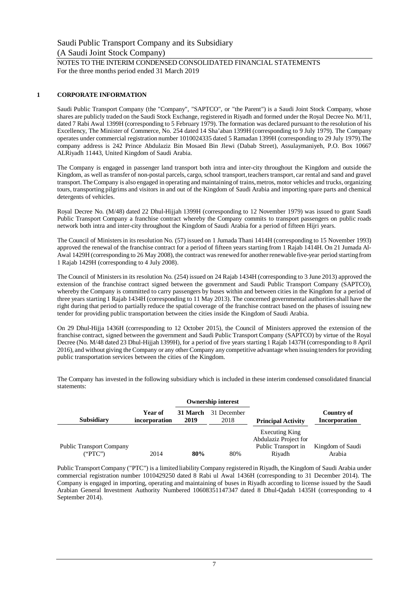NOTES TO THE INTERIM CONDENSED CONSOLIDATED FINANCIAL STATEMENTS For the three months period ended 31 March 2019

# **1 CORPORATE INFORMATION**

Saudi Public Transport Company (the "Company", "SAPTCO", or "the Parent") is a Saudi Joint Stock Company, whose shares are publicly traded on the Saudi Stock Exchange, registered in Riyadh and formed under the Royal Decree No. M/11, dated 7 Rabi Awal 1399H (corresponding to 5 February 1979). The formation was declared pursuant to the resolution of his Excellency, The Minister of Commerce, No. 254 dated 14 Sha'aban 1399H (corresponding to 9 July 1979). The Company operates under commercial registration number 1010024335 dated 5 Ramadan 1399H (corresponding to 29 July 1979).The company address is 242 Prince Abdulaziz Bin Mosaed Bin Jlewi (Dabab Street), Assulaymaniyeh, P.O. Box 10667 ALRiyadh 11443, United Kingdom of Saudi Arabia.

The Company is engaged in passenger land transport both intra and inter-city throughout the Kingdom and outside the Kingdom, as well as transfer of non-postal parcels, cargo, school transport, teachers transport, car rental and sand and gravel transport. The Company is also engaged in operating and maintaining of trains, metros, motor vehicles and trucks, organizing tours, transporting pilgrims and visitors in and out of the Kingdom of Saudi Arabia and importing spare parts and chemical detergents of vehicles.

Royal Decree No. (M/48) dated 22 Dhul-Hijjah 1399H (corresponding to 12 November 1979) was issued to grant Saudi Public Transport Company a franchise contract whereby the Company commits to transport passengers on public roads network both intra and inter-city throughout the Kingdom of Saudi Arabia for a period of fifteen Hijri years.

The Council of Ministers in its resolution No. (57) issued on 1 Jumada Thani 1414H (corresponding to 15 November 1993) approved the renewal of the franchise contract for a period of fifteen years starting from 1 Rajab 1414H. On 21 Jumada Al-Awal 1429H (corresponding to 26 May 2008), the contract was renewed for another renewable five-year period starting from 1 Rajab 1429H (corresponding to 4 July 2008).

The Council of Ministers in its resolution No. (254) issued on 24 Rajab 1434H (corresponding to 3 June 2013) approved the extension of the franchise contract signed between the government and Saudi Public Transport Company (SAPTCO), whereby the Company is committed to carry passengers by buses within and between cities in the Kingdom for a period of three years starting 1 Rajab 1434H (corresponding to 11 May 2013). The concerned governmental authorities shall have the right during that period to partially reduce the spatial coverage of the franchise contract based on the phases of issuing new tender for providing public transportation between the cities inside the Kingdom of Saudi Arabia.

On 29 Dhul-Hijja 1436H (corresponding to 12 October 2015), the Council of Ministers approved the extension of the franchise contract, signed between the government and Saudi Public Transport Company (SAPTCO) by virtue of the Royal Decree (No. M/48 dated 23 Dhul-Hijjah 1399H), for a period of five years starting 1 Rajab 1437H (corresponding to 8 April 2016), and without giving the Company or any other Company any competitive advantage when issuing tenders for providing public transportation services between the cities of the Kingdom.

The Company has invested in the following subsidiary which is included in these interim condensed consolidated financial statements:

|                                 |                          |                  | <b>Ownership interest</b> |                           |                                    |
|---------------------------------|--------------------------|------------------|---------------------------|---------------------------|------------------------------------|
| <b>Subsidiary</b>               | Year of<br>incorporation | 31 March<br>2019 | 31 December<br>2018       | <b>Principal Activity</b> | Country of<br><b>Incorporation</b> |
|                                 |                          |                  |                           | <b>Executing King</b>     |                                    |
|                                 |                          |                  |                           | Abdulaziz Project for     |                                    |
| <b>Public Transport Company</b> |                          |                  |                           | Public Transport in       | Kingdom of Saudi                   |
| ("PTC")                         | 2014                     | 80%              | 80%                       | Rivadh                    | Arabia                             |

Public Transport Company ("PTC") is a limited liability Company registered in Riyadh, the Kingdom of Saudi Arabia under commercial registration number 1010429250 dated 8 Rabi ul Awal 1436H (corresponding to 31 December 2014). The Company is engaged in importing, operating and maintaining of buses in Riyadh according to license issued by the Saudi Arabian General Investment Authority Numbered 10608351147347 dated 8 Dhul-Qadah 1435H (corresponding to 4 September 2014).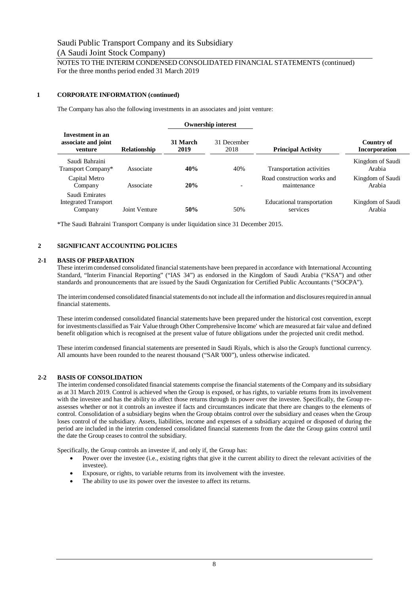# NOTES TO THE INTERIM CONDENSED CONSOLIDATED FINANCIAL STATEMENTS (continued) For the three months period ended 31 March 2019

# **1 CORPORATE INFORMATION (continued)**

The Company has also the following investments in an associates and joint venture:

|                                                          |                     |                  | <b>Ownership interest</b> |                                            |                             |
|----------------------------------------------------------|---------------------|------------------|---------------------------|--------------------------------------------|-----------------------------|
| Investment in an<br>associate and joint<br>venture       | <b>Relationship</b> | 31 March<br>2019 | 31 December<br>2018       | <b>Principal Activity</b>                  | Country of<br>Incorporation |
| Saudi Bahraini<br>Transport Company*                     | Associate           | 40%              | 40%                       | Transportation activities                  | Kingdom of Saudi<br>Arabia  |
| Capital Metro<br>Company                                 | Associate           | 20%              | $\overline{\phantom{a}}$  | Road construction works and<br>maintenance | Kingdom of Saudi<br>Arabia  |
| Saudi Emirates<br><b>Integrated Transport</b><br>Company | Joint Venture       | 50%              | 50%                       | Educational transportation<br>services     | Kingdom of Saudi<br>Arabia  |

\*The Saudi Bahraini Transport Company is under liquidation since 31 December 2015.

# **2 SIGNIFICANT ACCOUNTING POLICIES**

# **2-1 BASIS OF PREPARATION**

These interim condensed consolidated financial statements have been prepared in accordance with International Accounting Standard, "Interim Financial Reporting" ("IAS 34") as endorsed in the Kingdom of Saudi Arabia ("KSA") and other standards and pronouncements that are issued by the Saudi Organization for Certified Public Accountants ("SOCPA").

The interim condensed consolidated financial statements do not include all the information and disclosures required in annual financial statements.

These interim condensed consolidated financial statements have been prepared under the historical cost convention, except for investments classified as 'Fair Value through Other Comprehensive Income' which are measured at fair value and defined benefit obligation which is recognised at the present value of future obligations under the projected unit credit method.

These interim condensed financial statements are presented in Saudi Riyals, which is also the Group's functional currency. All amounts have been rounded to the nearest thousand ("SAR '000"), unless otherwise indicated.

# **2-2 BASIS OF CONSOLIDATION**

The interim condensed consolidated financial statements comprise the financial statements of the Company and its subsidiary as at 31 March 2019. Control is achieved when the Group is exposed, or has rights, to variable returns from its involvement with the investee and has the ability to affect those returns through its power over the investee. Specifically, the Group reassesses whether or not it controls an investee if facts and circumstances indicate that there are changes to the elements of control. Consolidation of a subsidiary begins when the Group obtains control over the subsidiary and ceases when the Group loses control of the subsidiary. Assets, liabilities, income and expenses of a subsidiary acquired or disposed of during the period are included in the interim condensed consolidated financial statements from the date the Group gains control until the date the Group ceases to control the subsidiary.

Specifically, the Group controls an investee if, and only if, the Group has:

- Power over the investee (i.e., existing rights that give it the current ability to direct the relevant activities of the investee).
- Exposure, or rights, to variable returns from its involvement with the investee.
- The ability to use its power over the investee to affect its returns.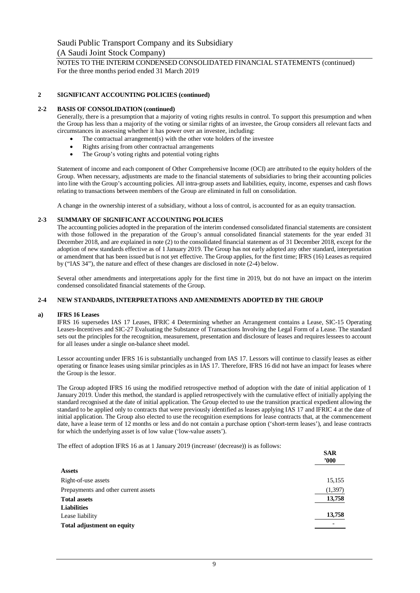NOTES TO THE INTERIM CONDENSED CONSOLIDATED FINANCIAL STATEMENTS (continued) For the three months period ended 31 March 2019

# **2 SIGNIFICANT ACCOUNTING POLICIES (continued)**

#### **2-2 BASIS OF CONSOLIDATION (continued)**

Generally, there is a presumption that a majority of voting rights results in control. To support this presumption and when the Group has less than a majority of the voting or similar rights of an investee, the Group considers all relevant facts and circumstances in assessing whether it has power over an investee, including:

- The contractual arrangement(s) with the other vote holders of the investee
- · Rights arising from other contractual arrangements
- The Group's voting rights and potential voting rights

Statement of income and each component of Other Comprehensive Income (OCI) are attributed to the equity holders of the Group. When necessary, adjustments are made to the financial statements of subsidiaries to bring their accounting policies into line with the Group's accounting policies. All intra-group assets and liabilities, equity, income, expenses and cash flows relating to transactions between members of the Group are eliminated in full on consolidation.

A change in the ownership interest of a subsidiary, without a loss of control, is accounted for as an equity transaction.

# **2-3 SUMMARY OF SIGNIFICANT ACCOUNTING POLICIES**

The accounting policies adopted in the preparation of the interim condensed consolidated financial statements are consistent with those followed in the preparation of the Group's annual consolidated financial statements for the year ended 31 December 2018, and are explained in note (2) to the consolidated financial statement as of 31 December 2018, except for the adoption of new standards effective as of 1 January 2019. The Group has not early adopted any other standard, interpretation or amendment that has been issued but is not yet effective. The Group applies, for the first time; IFRS (16) Leases as required by ("IAS 34"), the nature and effect of these changes are disclosed in note (2-4) below.

Several other amendments and interpretations apply for the first time in 2019, but do not have an impact on the interim condensed consolidated financial statements of the Group.

#### **2-4 NEW STANDARDS, INTERPRETATIONS AND AMENDMENTS ADOPTED BY THE GROUP**

#### **a) IFRS 16 Leases**

IFRS 16 supersedes IAS 17 Leases, IFRIC 4 Determining whether an Arrangement contains a Lease, SIC-15 Operating Leases-Incentives and SIC-27 Evaluating the Substance of Transactions Involving the Legal Form of a Lease. The standard sets out the principles for the recognition, measurement, presentation and disclosure of leases and requires lessees to account for all leases under a single on-balance sheet model.

Lessor accounting under IFRS 16 is substantially unchanged from IAS 17. Lessors will continue to classify leases as either operating or finance leases using similar principles as in IAS 17. Therefore, IFRS 16 did not have an impact for leases where the Group is the lessor.

The Group adopted IFRS 16 using the modified retrospective method of adoption with the date of initial application of 1 January 2019. Under this method, the standard is applied retrospectively with the cumulative effect of initially applying the standard recognised at the date of initial application. The Group elected to use the transition practical expedient allowing the standard to be applied only to contracts that were previously identified as leases applying IAS 17 and IFRIC 4 at the date of initial application. The Group also elected to use the recognition exemptions for lease contracts that, at the commencement date, have a lease term of 12 months or less and do not contain a purchase option ('short-term leases'), and lease contracts for which the underlying asset is of low value ('low-value assets').

 $\overline{S}$ 

The effect of adoption IFRS 16 as at 1 January 2019 (increase/ (decrease)) is as follows:

|                                      | эак<br>'000 |
|--------------------------------------|-------------|
| <b>Assets</b>                        |             |
| Right-of-use assets                  | 15,155      |
| Prepayments and other current assets | (1, 397)    |
| <b>Total assets</b>                  | 13,758      |
| <b>Liabilities</b>                   |             |
| Lease liability                      | 13,758      |
| <b>Total adjustment on equity</b>    |             |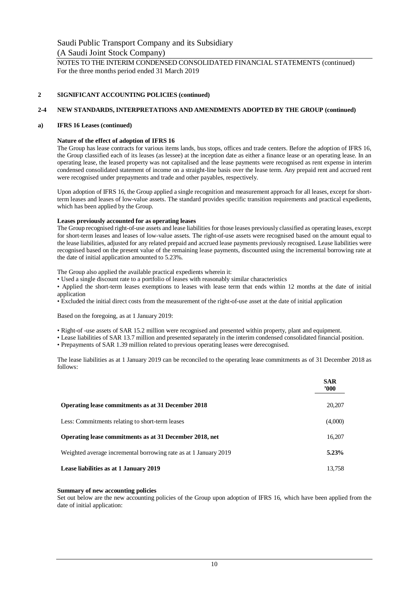NOTES TO THE INTERIM CONDENSED CONSOLIDATED FINANCIAL STATEMENTS (continued) For the three months period ended 31 March 2019

# **2 SIGNIFICANT ACCOUNTING POLICIES (continued)**

# **2-4 NEW STANDARDS, INTERPRETATIONS AND AMENDMENTS ADOPTED BY THE GROUP (continued)**

# **a) IFRS 16 Leases (continued)**

# **Nature of the effect of adoption of IFRS 16**

The Group has lease contracts for various items lands, bus stops, offices and trade centers. Before the adoption of IFRS 16, the Group classified each of its leases (as lessee) at the inception date as either a finance lease or an operating lease. In an operating lease, the leased property was not capitalised and the lease payments were recognised as rent expense in interim condensed consolidated statement of income on a straight-line basis over the lease term. Any prepaid rent and accrued rent were recognised under prepayments and trade and other payables, respectively.

Upon adoption of IFRS 16, the Group applied a single recognition and measurement approach for all leases, except for shortterm leases and leases of low-value assets. The standard provides specific transition requirements and practical expedients, which has been applied by the Group.

# **Leases previously accounted for as operating leases**

The Group recognised right-of-use assets and lease liabilities for those leases previously classified as operating leases, except for short-term leases and leases of low-value assets. The right-of-use assets were recognised based on the amount equal to the lease liabilities, adjusted for any related prepaid and accrued lease payments previously recognised. Lease liabilities were recognised based on the present value of the remaining lease payments, discounted using the incremental borrowing rate at the date of initial application amounted to 5.23%.

The Group also applied the available practical expedients wherein it:

• Used a single discount rate to a portfolio of leases with reasonably similar characteristics

• Applied the short-term leases exemptions to leases with lease term that ends within 12 months at the date of initial application

• Excluded the initial direct costs from the measurement of the right-of-use asset at the date of initial application

Based on the foregoing, as at 1 January 2019:

- Right-of -use assets of SAR 15.2 million were recognised and presented within property, plant and equipment.
- Lease liabilities of SAR 13.7 million and presented separately in the interim condensed consolidated financial position.
- Prepayments of SAR 1.39 million related to previous operating leases were derecognised.

The lease liabilities as at 1 January 2019 can be reconciled to the operating lease commitments as of 31 December 2018 as follows:

|                                                                  | <b>SAR</b><br>$^{\prime}000$ |
|------------------------------------------------------------------|------------------------------|
| <b>Operating lease commitments as at 31 December 2018</b>        | 20,207                       |
| Less: Commitments relating to short-term leases                  | (4,000)                      |
| Operating lease commitments as at 31 December 2018, net          | 16,207                       |
| Weighted average incremental borrowing rate as at 1 January 2019 | 5.23%                        |
| Lease liabilities as at 1 January 2019                           | 13.758                       |

# **Summary of new accounting policies**

Set out below are the new accounting policies of the Group upon adoption of IFRS 16, which have been applied from the date of initial application: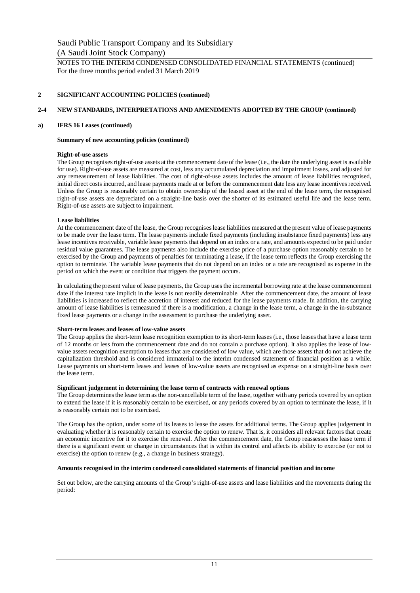NOTES TO THE INTERIM CONDENSED CONSOLIDATED FINANCIAL STATEMENTS (continued) For the three months period ended 31 March 2019

# **2 SIGNIFICANT ACCOUNTING POLICIES (continued)**

# **2-4 NEW STANDARDS, INTERPRETATIONS AND AMENDMENTS ADOPTED BY THE GROUP (continued)**

# **a) IFRS 16 Leases (continued)**

# **Summary of new accounting policies (continued)**

# **Right-of-use assets**

The Group recognises right-of-use assets at the commencement date of the lease (i.e., the date the underlying asset is available for use). Right-of-use assets are measured at cost, less any accumulated depreciation and impairment losses, and adjusted for any remeasurement of lease liabilities. The cost of right-of-use assets includes the amount of lease liabilities recognised, initial direct costs incurred, and lease payments made at or before the commencement date less any lease incentives received. Unless the Group is reasonably certain to obtain ownership of the leased asset at the end of the lease term, the recognised right-of-use assets are depreciated on a straight-line basis over the shorter of its estimated useful life and the lease term. Right-of-use assets are subject to impairment.

# **Lease liabilities**

At the commencement date of the lease, the Group recognises lease liabilities measured at the present value of lease payments to be made over the lease term. The lease payments include fixed payments (including insubstance fixed payments) less any lease incentives receivable, variable lease payments that depend on an index or a rate, and amounts expected to be paid under residual value guarantees. The lease payments also include the exercise price of a purchase option reasonably certain to be exercised by the Group and payments of penalties for terminating a lease, if the lease term reflects the Group exercising the option to terminate. The variable lease payments that do not depend on an index or a rate are recognised as expense in the period on which the event or condition that triggers the payment occurs.

In calculating the present value of lease payments, the Group uses the incremental borrowing rate at the lease commencement date if the interest rate implicit in the lease is not readily determinable. After the commencement date, the amount of lease liabilities is increased to reflect the accretion of interest and reduced for the lease payments made. In addition, the carrying amount of lease liabilities is remeasured if there is a modification, a change in the lease term, a change in the in-substance fixed lease payments or a change in the assessment to purchase the underlying asset.

# **Short-term leases and leases of low-value assets**

The Group applies the short-term lease recognition exemption to its short-term leases (i.e., those leases that have a lease term of 12 months or less from the commencement date and do not contain a purchase option). It also applies the lease of lowvalue assets recognition exemption to leases that are considered of low value, which are those assets that do not achieve the capitalization threshold and is considered immaterial to the interim condensed statement of financial position as a while. Lease payments on short-term leases and leases of low-value assets are recognised as expense on a straight-line basis over the lease term.

# **Significant judgement in determining the lease term of contracts with renewal options**

The Group determines the lease term as the non-cancellable term of the lease, together with any periods covered by an option to extend the lease if it is reasonably certain to be exercised, or any periods covered by an option to terminate the lease, if it is reasonably certain not to be exercised.

The Group has the option, under some of its leases to lease the assets for additional terms. The Group applies judgement in evaluating whether it is reasonably certain to exercise the option to renew. That is, it considers all relevant factors that create an economic incentive for it to exercise the renewal. After the commencement date, the Group reassesses the lease term if there is a significant event or change in circumstances that is within its control and affects its ability to exercise (or not to exercise) the option to renew (e.g., a change in business strategy).

# **Amounts recognised in the interim condensed consolidated statements of financial position and income**

Set out below, are the carrying amounts of the Group's right-of-use assets and lease liabilities and the movements during the period: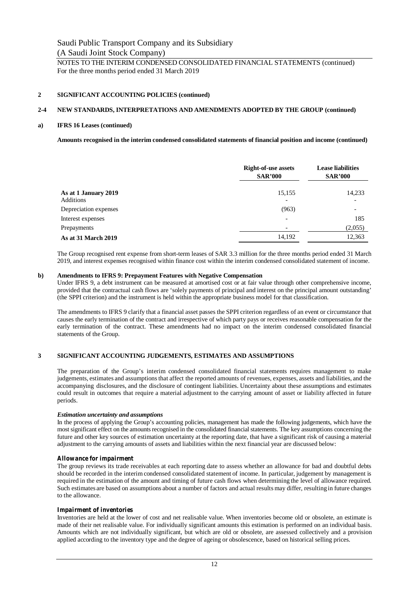NOTES TO THE INTERIM CONDENSED CONSOLIDATED FINANCIAL STATEMENTS (continued) For the three months period ended 31 March 2019

# **2 SIGNIFICANT ACCOUNTING POLICIES (continued)**

# **2-4 NEW STANDARDS, INTERPRETATIONS AND AMENDMENTS ADOPTED BY THE GROUP (continued)**

#### **a) IFRS 16 Leases (continued)**

**Amounts recognised in the interim condensed consolidated statements of financial position and income (continued)**

|                                   | <b>Right-of-use assets</b><br><b>SAR'000</b> | <b>Lease liabilities</b><br><b>SAR'000</b> |  |
|-----------------------------------|----------------------------------------------|--------------------------------------------|--|
| As at 1 January 2019<br>Additions | 15,155<br>$\overline{\phantom{a}}$           | 14,233                                     |  |
| Depreciation expenses             | (963)                                        |                                            |  |
| Interest expenses                 | $\overline{\phantom{0}}$                     | 185                                        |  |
| Prepayments                       |                                              | (2,055)                                    |  |
| <b>As at 31 March 2019</b>        | 14,192                                       | 12,363                                     |  |

The Group recognised rent expense from short-term leases of SAR 3.3 million for the three months period ended 31 March 2019, and interest expenses recognised within finance cost within the interim condensed consolidated statement of income.

#### **b) Amendments to IFRS 9: Prepayment Features with Negative Compensation**

Under IFRS 9, a debt instrument can be measured at amortised cost or at fair value through other comprehensive income, provided that the contractual cash flows are 'solely payments of principal and interest on the principal amount outstanding' (the SPPI criterion) and the instrument is held within the appropriate business model for that classification.

The amendments to IFRS 9 clarify that a financial asset passes the SPPI criterion regardless of an event or circumstance that causes the early termination of the contract and irrespective of which party pays or receives reasonable compensation for the early termination of the contract. These amendments had no impact on the interim condensed consolidated financial statements of the Group.

# **3 SIGNIFICANT ACCOUNTING JUDGEMENTS, ESTIMATES AND ASSUMPTIONS**

The preparation of the Group's interim condensed consolidated financial statements requires management to make judgements, estimates and assumptions that affect the reported amounts of revenues, expenses, assets and liabilities, and the accompanying disclosures, and the disclosure of contingent liabilities. Uncertainty about these assumptions and estimates could result in outcomes that require a material adjustment to the carrying amount of asset or liability affected in future periods.

# *Estimation uncertainty and assumptions*

In the process of applying the Group's accounting policies, management has made the following judgements, which have the most significant effect on the amounts recognised in the consolidated financial statements. The key assumptions concerning the future and other key sources of estimation uncertainty at the reporting date, that have a significant risk of causing a material adjustment to the carrying amounts of assets and liabilities within the next financial year are discussed below:

# *Allowance for impairment*

The group reviews its trade receivables at each reporting date to assess whether an allowance for bad and doubtful debts should be recorded in the interim condensed consolidated statement of income. In particular, judgement by management is required in the estimation of the amount and timing of future cash flows when determining the level of allowance required. Such estimates are based on assumptions about a number of factors and actual results may differ, resulting in future changes to the allowance.

#### *Impairment of inventories*

Inventories are held at the lower of cost and net realisable value. When inventories become old or obsolete, an estimate is made of their net realisable value. For individually significant amounts this estimation is performed on an individual basis. Amounts which are not individually significant, but which are old or obsolete, are assessed collectively and a provision applied according to the inventory type and the degree of ageing or obsolescence, based on historical selling prices.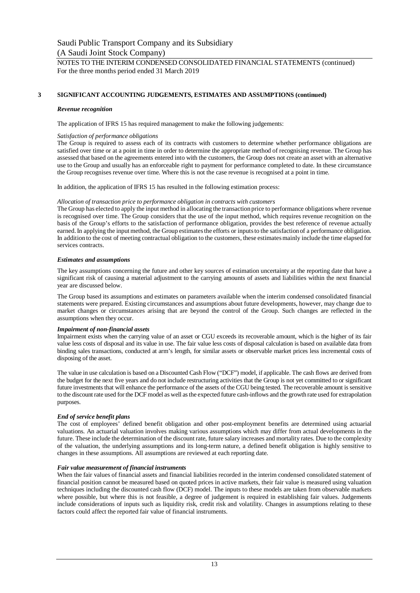# **3 SIGNIFICANT ACCOUNTING JUDGEMENTS, ESTIMATES AND ASSUMPTIONS (continued)**

#### *Revenue recognition*

The application of IFRS 15 has required management to make the following judgements:

#### *Satisfaction of performance obligations*

The Group is required to assess each of its contracts with customers to determine whether performance obligations are satisfied over time or at a point in time in order to determine the appropriate method of recognising revenue. The Group has assessed that based on the agreements entered into with the customers, the Group does not create an asset with an alternative use to the Group and usually has an enforceable right to payment for performance completed to date. In these circumstance the Group recognises revenue over time. Where this is not the case revenue is recognised at a point in time.

In addition, the application of IFRS 15 has resulted in the following estimation process:

#### *Allocation of transaction price to performance obligation in contracts with customers*

The Group has elected to apply the input method in allocating the transaction price to performance obligations where revenue is recognised over time. The Group considers that the use of the input method, which requires revenue recognition on the basis of the Group's efforts to the satisfaction of performance obligation, provides the best reference of revenue actually earned. In applying the input method, the Group estimates the efforts or inputs to the satisfaction of a performance obligation. In addition to the cost of meeting contractual obligation to the customers, these estimates mainly include the time elapsed for services contracts.

#### *Estimates and assumptions*

The key assumptions concerning the future and other key sources of estimation uncertainty at the reporting date that have a significant risk of causing a material adjustment to the carrying amounts of assets and liabilities within the next financial year are discussed below.

The Group based its assumptions and estimates on parameters available when the interim condensed consolidated financial statements were prepared. Existing circumstances and assumptions about future developments, however, may change due to market changes or circumstances arising that are beyond the control of the Group. Such changes are reflected in the assumptions when they occur.

# *Impairment of non-financial assets*

Impairment exists when the carrying value of an asset or CGU exceeds its recoverable amount, which is the higher of its fair value less costs of disposal and its value in use. The fair value less costs of disposal calculation is based on available data from binding sales transactions, conducted at arm's length, for similar assets or observable market prices less incremental costs of disposing of the asset.

The value in use calculation is based on a Discounted Cash Flow ("DCF") model, if applicable. The cash flows are derived from the budget for the next five years and do not include restructuring activities that the Group is not yet committed to or significant future investments that will enhance the performance of the assets of the CGU being tested. The recoverable amount is sensitive to the discount rate used for the DCF model as well as the expected future cash-inflows and the growth rate used for extrapolation purposes.

# *End of service benefit plans*

The cost of employees' defined benefit obligation and other post-employment benefits are determined using actuarial valuations. An actuarial valuation involves making various assumptions which may differ from actual developments in the future. These include the determination of the discount rate, future salary increases and mortality rates. Due to the complexity of the valuation, the underlying assumptions and its long-term nature, a defined benefit obligation is highly sensitive to changes in these assumptions. All assumptions are reviewed at each reporting date.

# *Fair value measurement of financial instruments*

When the fair values of financial assets and financial liabilities recorded in the interim condensed consolidated statement of financial position cannot be measured based on quoted prices in active markets, their fair value is measured using valuation techniques including the discounted cash flow (DCF) model. The inputs to these models are taken from observable markets where possible, but where this is not feasible, a degree of judgement is required in establishing fair values. Judgements include considerations of inputs such as liquidity risk, credit risk and volatility. Changes in assumptions relating to these factors could affect the reported fair value of financial instruments.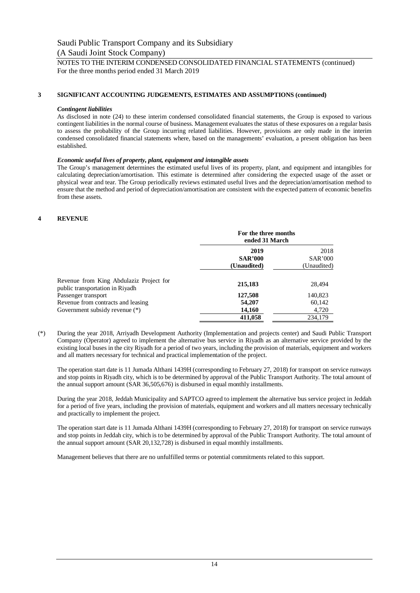# **3 SIGNIFICANT ACCOUNTING JUDGEMENTS, ESTIMATES AND ASSUMPTIONS (continued)**

#### *Contingent liabilities*

As disclosed in note (24) to these interim condensed consolidated financial statements, the Group is exposed to various contingent liabilities in the normal course of business. Management evaluates the status of these exposures on a regular basis to assess the probability of the Group incurring related liabilities. However, provisions are only made in the interim condensed consolidated financial statements where, based on the managements' evaluation, a present obligation has been established.

# *Economic useful lives of property, plant, equipment and intangible assets*

The Group's management determines the estimated useful lives of its property, plant, and equipment and intangibles for calculating depreciation/amortisation. This estimate is determined after considering the expected usage of the asset or physical wear and tear. The Group periodically reviews estimated useful lives and the depreciation/amortisation method to ensure that the method and period of depreciation/amortisation are consistent with the expected pattern of economic benefits from these assets.

# **4 REVENUE**

|                                                                            | For the three months<br>ended 31 March |                |  |
|----------------------------------------------------------------------------|----------------------------------------|----------------|--|
|                                                                            | 2019                                   | 2018           |  |
|                                                                            | <b>SAR'000</b>                         | <b>SAR'000</b> |  |
|                                                                            | (Unaudited)                            | (Unaudited)    |  |
| Revenue from King Abdulaziz Project for<br>public transportation in Riyadh | 215,183                                | 28,494         |  |
| Passenger transport                                                        | 127,508                                | 140,823        |  |
| Revenue from contracts and leasing                                         | 54,207                                 | 60,142         |  |
| Government subsidy revenue (*)                                             | 14,160                                 | 4,720          |  |
|                                                                            | 411,058                                | 234,179        |  |

(\*) During the year 2018, Arriyadh Development Authority (Implementation and projects center) and Saudi Public Transport Company (Operator) agreed to implement the alternative bus service in Riyadh as an alternative service provided by the existing local buses in the city Riyadh for a period of two years, including the provision of materials, equipment and workers and all matters necessary for technical and practical implementation of the project.

The operation start date is 11 Jumada Althani 1439H (corresponding to February 27, 2018) for transport on service runways and stop points in Riyadh city, which is to be determined by approval of the Public Transport Authority. The total amount of the annual support amount (SAR 36,505,676) is disbursed in equal monthly installments.

During the year 2018, Jeddah Municipality and SAPTCO agreed to implement the alternative bus service project in Jeddah for a period of five years, including the provision of materials, equipment and workers and all matters necessary technically and practically to implement the project.

The operation start date is 11 Jumada Althani 1439H (corresponding to February 27, 2018) for transport on service runways and stop points in Jeddah city, which is to be determined by approval of the Public Transport Authority. The total amount of the annual support amount (SAR 20,132,728) is disbursed in equal monthly installments.

Management believes that there are no unfulfilled terms or potential commitments related to this support.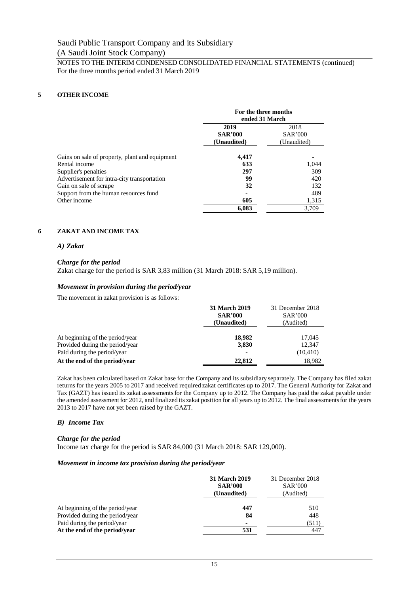# **5 OTHER INCOME**

|                                                | For the three months<br>ended 31 March |                                       |
|------------------------------------------------|----------------------------------------|---------------------------------------|
|                                                | 2019<br><b>SAR'000</b><br>(Unaudited)  | 2018<br><b>SAR'000</b><br>(Unaudited) |
| Gains on sale of property, plant and equipment | 4,417                                  |                                       |
| Rental income                                  | 633                                    | 1,044                                 |
| Supplier's penalties                           | 297                                    | 309                                   |
| Advertisement for intra-city transportation    | 99                                     | 420                                   |
| Gain on sale of scrape                         | 32                                     | 132                                   |
| Support from the human resources fund          |                                        | 489                                   |
| Other income                                   | 605                                    | 1,315                                 |
|                                                | 6,083                                  | 3,709                                 |

# **6 ZAKAT AND INCOME TAX**

# *A) Zakat*

# *Charge for the period*

Zakat charge for the period is SAR 3,83 million (31 March 2018: SAR 5,19 million).

# *Movement in provision during the period/year*

The movement in zakat provision is as follows:

|                                 | <b>31 March 2019</b><br><b>SAR'000</b> | 31 December 2018<br><b>SAR'000</b> |  |
|---------------------------------|----------------------------------------|------------------------------------|--|
| (Unaudited)                     |                                        | (Audited)                          |  |
| At beginning of the period/year | 18,982                                 | 17,045                             |  |
| Provided during the period/year | 3,830                                  | 12.347                             |  |
| Paid during the period/year     |                                        | (10, 410)                          |  |
| At the end of the period/year   | 22,812                                 | 18.982                             |  |

Zakat has been calculated based on Zakat base for the Company and its subsidiary separately. The Company has filed zakat returns for the years 2005 to 2017 and received required zakat certificates up to 2017. The General Authority for Zakat and Tax (GAZT) has issued its zakat assessments for the Company up to 2012. The Company has paid the zakat payable under the amended assessment for 2012, and finalized its zakat position for all years up to 2012. The final assessments for the years 2013 to 2017 have not yet been raised by the GAZT.

# *B) Income Tax*

# *Charge for the period*

Income tax charge for the period is SAR 84,000 (31 March 2018: SAR 129,000).

# *Movement in income tax provision during the period/year*

|                                 | 31 March 2019<br><b>SAR'000</b><br>(Unaudited) | 31 December 2018<br><b>SAR'000</b><br>(Audited) |
|---------------------------------|------------------------------------------------|-------------------------------------------------|
| At beginning of the period/year | 447                                            | 510                                             |
| Provided during the period/year | 84                                             | 448                                             |
| Paid during the period/year     | $\blacksquare$                                 | (511)                                           |
| At the end of the period/year   | 531                                            | 447                                             |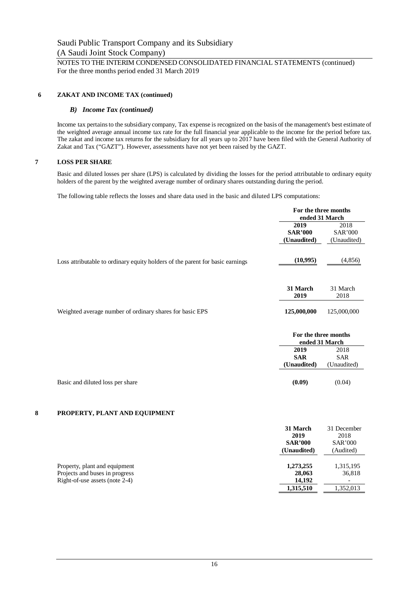# **6 ZAKAT AND INCOME TAX (continued)**

# *B) Income Tax (continued)*

Income tax pertains to the subsidiary company, Tax expense is recognized on the basis of the management's best estimate of the weighted average annual income tax rate for the full financial year applicable to the income for the period before tax. The zakat and income tax returns for the subsidiary for all years up to 2017 have been filed with the General Authority of Zakat and Tax ("GAZT"). However, assessments have not yet been raised by the GAZT.

# **7 LOSS PER SHARE**

Basic and diluted losses per share (LPS) is calculated by dividing the losses for the period attributable to ordinary equity holders of the parent by the weighted average number of ordinary shares outstanding during the period.

The following table reflects the losses and share data used in the basic and diluted LPS computations:

|                                                                               | For the three months<br>ended 31 March |                  |
|-------------------------------------------------------------------------------|----------------------------------------|------------------|
|                                                                               | 2019                                   | 2018             |
|                                                                               | <b>SAR'000</b>                         | <b>SAR'000</b>   |
|                                                                               | (Unaudited)                            | (Unaudited)      |
| Loss attributable to ordinary equity holders of the parent for basic earnings | (10,995)                               | (4,856)          |
|                                                                               | 31 March<br>2019                       | 31 March<br>2018 |
| Weighted average number of ordinary shares for basic EPS                      | 125,000,000                            | 125,000,000      |
|                                                                               | For the three months<br>ended 31 March |                  |
|                                                                               | 2019                                   | 2018             |
|                                                                               | <b>SAR</b>                             | <b>SAR</b>       |
|                                                                               | (Unaudited)                            | (Unaudited)      |
| Basic and diluted loss per share                                              | (0.09)                                 | (0.04)           |

# **8 PROPERTY, PLANT AND EQUIPMENT**

|                                                                                                   | 31 March<br>2019<br><b>SAR'000</b><br>(Unaudited) | 31 December<br>2018<br><b>SAR'000</b><br>(Audited) |
|---------------------------------------------------------------------------------------------------|---------------------------------------------------|----------------------------------------------------|
| Property, plant and equipment<br>Projects and buses in progress<br>Right-of-use assets (note 2-4) | 1,273,255<br>28,063<br>14,192                     | 1,315,195<br>36,818                                |
|                                                                                                   | 1,315,510                                         | 1.352.013                                          |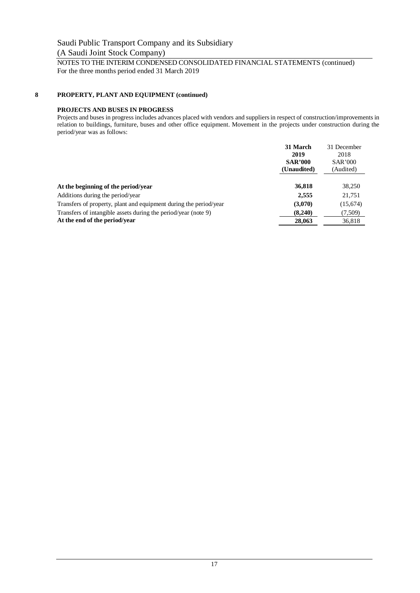# **8 PROPERTY, PLANT AND EQUIPMENT (continued)**

# **PROJECTS AND BUSES IN PROGRESS**

Projects and buses in progress includes advances placed with vendors and suppliers in respect of construction/improvements in relation to buildings, furniture, buses and other office equipment. Movement in the projects under construction during the period/year was as follows:

|                                                                   | 31 March       | 31 December    |
|-------------------------------------------------------------------|----------------|----------------|
|                                                                   | 2019           | 2018           |
|                                                                   | <b>SAR'000</b> | <b>SAR'000</b> |
|                                                                   | (Unaudited)    | (Audited)      |
|                                                                   |                |                |
| At the beginning of the period/year                               | 36,818         | 38,250         |
| Additions during the period/year                                  | 2,555          | 21,751         |
| Transfers of property, plant and equipment during the period/year | (3,070)        | (15,674)       |
| Transfers of intangible assets during the period/year (note 9)    | (8.240)        | (7,509)        |
| At the end of the period/year                                     | 28,063         | 36,818         |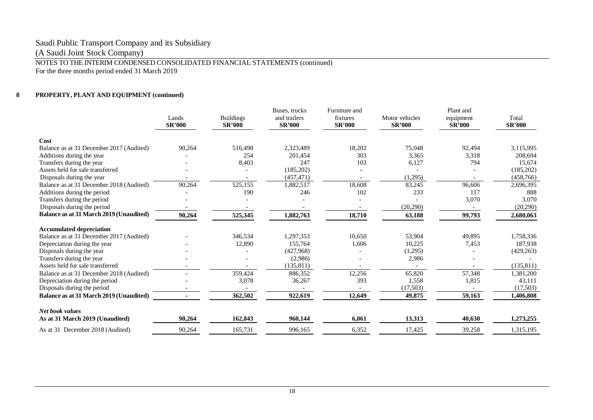# Saudi Public Transport Company and its Subsidiary

(A Saudi Joint Stock Company)

NOTES TO THE INTERIM CONDENSED CONSOLIDATED FINANCIAL STATEMENTS (continued)

For the three months period ended 31 March 2019

# **8 PROPERTY, PLANT AND EQUIPMENT (continued)**

|                                                | Lands         | <b>Buildings</b> | Buses, trucks<br>and trailers | Furniture and<br>fixtures | Motor vehicles | Plant and<br>equipment | Total         |
|------------------------------------------------|---------------|------------------|-------------------------------|---------------------------|----------------|------------------------|---------------|
|                                                | <b>SR'000</b> | <b>SR'000</b>    | <b>SR'000</b>                 | <b>SR'000</b>             | <b>SR'000</b>  | <b>SR'000</b>          | <b>SR'000</b> |
| Cost                                           |               |                  |                               |                           |                |                        |               |
| Balance as at 31 December 2017 (Audited)       | 90,264        | 516.498          | 2,323,489                     | 18,202                    | 75,048         | 92,494                 | 3,115,995     |
| Additions during the year                      |               | 254              | 201,454                       | 303                       | 3,365          | 3,318                  | 208,694       |
| Transfers during the year                      |               | 8,403            | 247                           | 103                       | 6,127          | 794                    | 15,674        |
| Assets held for sale transferred               |               |                  | (185, 202)                    |                           |                |                        | (185,202)     |
| Disposals during the year                      |               |                  | (457, 471)                    |                           | (1,295)        |                        | (458, 766)    |
| Balance as at 31 December 2018 (Audited)       | 90,264        | 525,155          | 1,882,517                     | 18,608                    | 83,245         | 96,606                 | 2,696,395     |
| Additions during the period                    |               | 190              | 246                           | 102                       | 233            | 117                    | 888           |
| Transfers during the period                    |               |                  |                               |                           |                | 3,070                  | 3,070         |
| Disposals during the period                    |               |                  |                               |                           | (20, 290)      |                        | (20, 290)     |
| <b>Balance as at 31 March 2019 (Unaudited)</b> | 90,264        | 525,345          | 1,882,763                     | 18,710                    | 63,188         | 99,793                 | 2,680,063     |
| <b>Accumulated depreciation</b>                |               |                  |                               |                           |                |                        |               |
| Balance as at 31 December 2017 (Audited)       |               | 346,534          | 1,297,353                     | 10,650                    | 53,904         | 49,895                 | 1,758,336     |
| Depreciation during the year                   |               | 12,890           | 155,764                       | 1,606                     | 10,225         | 7,453                  | 187,938       |
| Disposals during the year                      |               |                  | (427,968)                     |                           | (1,295)        |                        | (429, 263)    |
| Transfers during the year                      |               |                  | (2,986)                       |                           | 2,986          |                        |               |
| Assets held for sale transferred               |               |                  | (135, 811)                    |                           |                |                        | (135, 811)    |
| Balance as at 31 December 2018 (Audited)       |               | 359,424          | 886,352                       | 12,256                    | 65,820         | 57,348                 | 1,381,200     |
| Depreciation during the period                 |               | 3,078            | 36,267                        | 393                       | 1,558          | 1,815                  | 43,111        |
| Disposals during the period                    |               |                  |                               |                           | (17,503)       |                        | (17,503)      |
| Balance as at 31 March 2019 (Unaudited)        |               | 362,502          | 922,619                       | 12,649                    | 49,875         | 59,163                 | 1,406,808     |
| <b>Net book values</b>                         |               |                  |                               |                           |                |                        |               |
| As at 31 March 2019 (Unaudited)                | 90,264        | 162,843          | 960,144                       | 6,061                     | 13,313         | 40,630                 | 1,273,255     |
| As at 31 December 2018 (Audited)               | 90,264        | 165,731          | 996,165                       | 6,352                     | 17,425         | 39,258                 | 1,315,195     |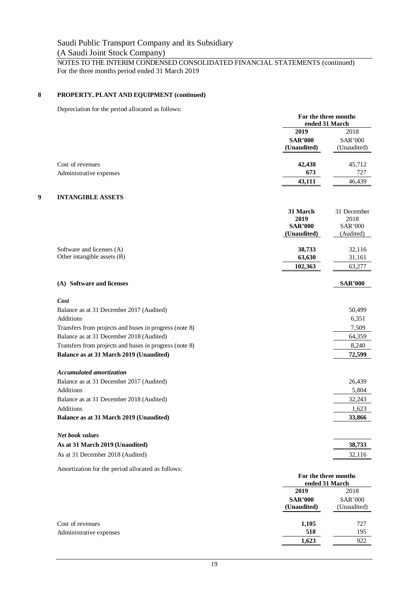# NOTES TO THE INTERIM CONDENSED CONSOLIDATED FINANCIAL STATEMENTS (continued) For the three months period ended 31 March 2019

# **8 PROPERTY, PLANT AND EQUIPMENT (continued)**

Depreciation for the period allocated as follows:

|                                                        | For the three months<br>ended 31 March |                        |
|--------------------------------------------------------|----------------------------------------|------------------------|
|                                                        | 2019                                   | 2018                   |
|                                                        | <b>SAR'000</b>                         | <b>SAR'000</b>         |
|                                                        | (Unaudited)                            | (Unaudited)            |
| Cost of revenues                                       | 42,438                                 | 45,712                 |
| Administrative expenses                                | 673                                    | 727                    |
|                                                        | 43,111                                 | 46,439                 |
| <b>INTANGIBLE ASSETS</b>                               |                                        |                        |
|                                                        | 31 March                               | 31 December            |
|                                                        | 2019<br><b>SAR'000</b>                 | 2018<br><b>SAR'000</b> |
|                                                        | (Unaudited)                            | (Audited)              |
|                                                        |                                        |                        |
| Software and licenses (A)                              | 38,733                                 | 32,116                 |
| Other intangible assets (B)                            | 63,630                                 | 31,161                 |
|                                                        | 102,363                                | 63,277                 |
| (A) Software and licenses                              |                                        | <b>SAR'000</b>         |
| Cost                                                   |                                        |                        |
| Balance as at 31 December 2017 (Audited)               |                                        | 50,499                 |
| Additions                                              |                                        | 6,351                  |
| Transfers from projects and buses in progress (note 8) |                                        | 7,509                  |
| Balance as at 31 December 2018 (Audited)               |                                        | 64,359                 |
| Transfers from projects and buses in progress (note 8) |                                        | 8,240                  |
| Balance as at 31 March 2019 (Unaudited)                |                                        | 72,599                 |
| <b>Accumulated amortization</b>                        |                                        |                        |
| Balance as at 31 December 2017 (Audited)               |                                        | 26,439                 |
| Additions                                              |                                        | 5,804                  |
| Balance as at 31 December 2018 (Audited)               |                                        | 32,243                 |
| Additions                                              |                                        | 1,623                  |
| Balance as at 31 March 2019 (Unaudited)                |                                        | 33,866                 |

| As at 31 March 2019 (Unaudited)  | 38.733 |
|----------------------------------|--------|
| As at 31 December 2018 (Audited) | 32.116 |

Amortization for the period allocated as follows:

|                         |                               | For the three months<br>ended 31 March |  |
|-------------------------|-------------------------------|----------------------------------------|--|
|                         | 2019                          | 2018                                   |  |
|                         | <b>SAR'000</b><br>(Unaudited) | <b>SAR'000</b><br>(Unaudited)          |  |
| Cost of revenues        | 1,105                         | 727                                    |  |
| Administrative expenses | 518                           | 195                                    |  |
|                         | 1,623                         | 922                                    |  |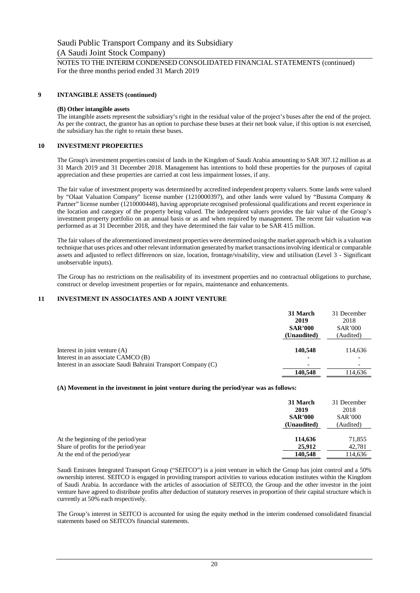# **9 INTANGIBLE ASSETS (continued)**

#### **(B) Other intangible assets**

The intangible assets represent the subsidiary's right in the residual value of the project's buses after the end of the project. As per the contract, the grantor has an option to purchase these buses at their net book value, if this option is not exercised, the subsidiary has the right to retain these buses.

# **10 INVESTMENT PROPERTIES**

The Group's investment properties consist of lands in the Kingdom of Saudi Arabia amounting to SAR 307.12 million as at 31 March 2019 and 31 December 2018. Management has intentions to hold these properties for the purposes of capital appreciation and these properties are carried at cost less impairment losses, if any.

The fair value of investment property was determined by accredited independent property valuers. Some lands were valued by "Olaat Valuation Company" license number (1210000397), and other lands were valued by "Bussma Company & Partner" license number (1210000448), having appropriate recognised professional qualifications and recent experience in the location and category of the property being valued. The independent valuers provides the fair value of the Group's investment property portfolio on an annual basis or as and when required by management. The recent fair valuation was performed as at 31 December 2018, and they have determined the fair value to be SAR 415 million.

The fair values of the aforementioned investment properties were determined using the market approach which is a valuation technique that uses prices and other relevant information generated by market transactions involving identical or comparable assets and adjusted to reflect differences on size, location, frontage/visability, view and utilisation (Level 3 - Significant unobservable inputs).

The Group has no restrictions on the realisability of its investment properties and no contractual obligations to purchase, construct or develop investment properties or for repairs, maintenance and enhancements.

# **11 INVESTMENT IN ASSOCIATES AND A JOINT VENTURE**

|                                                                       | 31 March<br>2019<br><b>SAR'000</b><br>(Unaudited) | 31 December<br>2018<br><b>SAR'000</b><br>(Audited) |
|-----------------------------------------------------------------------|---------------------------------------------------|----------------------------------------------------|
| Interest in joint venture $(A)$<br>Interest in an associate CAMCO (B) | 140,548                                           | 114,636                                            |
| Interest in an associate Saudi Bahraini Transport Company (C)         |                                                   |                                                    |
|                                                                       | 140,548                                           | 114,636                                            |

# **(A) Movement in the investment in joint venture during the period/year was as follows:**

|                                      | 31 March<br>2019<br><b>SAR'000</b><br>(Unaudited) | 31 December<br>2018<br><b>SAR'000</b><br>(Audited) |
|--------------------------------------|---------------------------------------------------|----------------------------------------------------|
| At the beginning of the period/year  | 114,636                                           | 71,855                                             |
| Share of profits for the period/year | 25,912                                            | 42,781                                             |
| At the end of the period/year        | 140,548                                           | 114,636                                            |

Saudi Emirates Integrated Transport Group ("SEITCO") is a joint venture in which the Group has joint control and a 50% ownership interest. SEITCO is engaged in providing transport activities to various education institutes within the Kingdom of Saudi Arabia. In accordance with the articles of association of SEITCO, the Group and the other investor in the joint venture have agreed to distribute profits after deduction of statutory reserves in proportion of their capital structure which is currently at 50% each respectively.

The Group's interest in SEITCO is accounted for using the equity method in the interim condensed consolidated financial statements based on SEITCO's financial statements.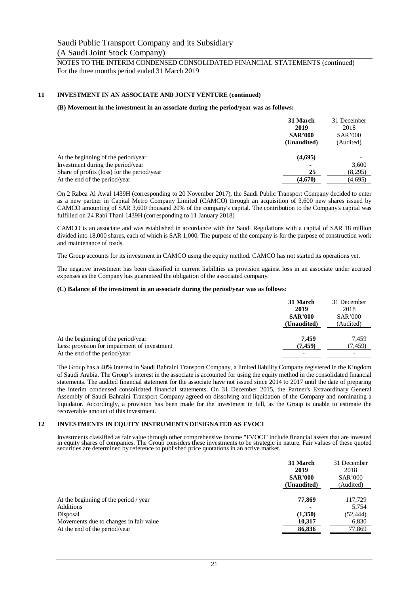# **11 INVESTMENT IN AN ASSOCIATE AND JOINT VENTURE (continued)**

#### **(B) Movement in the investment in an associate during the period/year was as follows:**

|                                             | 31 March<br>2019<br><b>SAR'000</b><br>(Unaudited) | 31 December<br>2018<br><b>SAR'000</b><br>(Audited) |
|---------------------------------------------|---------------------------------------------------|----------------------------------------------------|
| At the beginning of the period/year         | (4,695)                                           |                                                    |
| Investment during the period/year           |                                                   | 3,600                                              |
| Share of profits (loss) for the period/year | 25                                                | (8,295)                                            |
| At the end of the period/year               | (4,670)                                           | (4,695)                                            |

On 2 Rabea Al Awal 1439H (corresponding to 20 November 2017), the Saudi Public Transport Company decided to enter as a new partner in Capital Metro Company Limited (CAMCO) through an acquisition of 3,600 new shares issued by CAMCO amounting of SAR 3,600 thousand 20% of the company's capital. The contribution to the Company's capital was fulfilled on 24 Rabi Thani 1439H (corresponding to 11 January 2018)

CAMCO is an associate and was established in accordance with the Saudi Regulations with a capital of SAR 18 million divided into 18,000 shares, each of which is SAR 1,000. The purpose of the company is for the purpose of construction work and maintenance of roads.

The Group accounts for its investment in CAMCO using the equity method. CAMCO has not started its operations yet.

The negative investment has been classified in current liabilities as provision against loss in an associate under accrued expenses as the Company has guaranteed the obligation of the associated company.

#### **(C) Balance of the investment in an associate during the period/year was as follows:**

|                                              | 31 March<br>2019 | 31 December<br>2018 |
|----------------------------------------------|------------------|---------------------|
|                                              | <b>SAR'000</b>   | <b>SAR'000</b>      |
|                                              | (Unaudited)      | (Audited)           |
|                                              |                  |                     |
| At the beginning of the period/year          | 7.459            | 7.459               |
| Less: provision for impairment of investment | (7.459)          | (7, 459)            |
| At the end of the period/year                |                  |                     |

The Group has a 40% interest in Saudi Bahraini Transport Company, a limited liability Company registered in the Kingdom of Saudi Arabia. The Group's interest in the associate is accounted for using the equity method in the consolidated financial statements. The audited financial statement for the associate have not issued since 2014 to 2017 until the date of preparing the interim condensed consolidated financial statements. On 31 December 2015, the Partner's Extraordinary General Assembly of Saudi Bahraini Transport Company agreed on dissolving and liquidation of the Company and nominating a liquidator. Accordingly, a provision has been made for the investment in full, as the Group is unable to estimate the recoverable amount of this investment.

#### **12 INVESTMENTS IN EQUITY INSTRUMENTS DESIGNATED AS FVOCI**

Investments classified as fair value through other comprehensive income "FVOCI" include financial assets that are invested in equity shares of companies. The Group considers these investments to be strategic in nature. Fair values of these quoted securities are determined by reference to published price quotations in an active market.

|                                                                         | 31 March<br>2019<br><b>SAR'000</b><br>(Unaudited) | 31 December<br>2018<br><b>SAR'000</b><br>(Audited) |
|-------------------------------------------------------------------------|---------------------------------------------------|----------------------------------------------------|
| At the beginning of the period / year                                   | 77,869                                            | 117,729                                            |
| Additions<br>Disposal                                                   | (1,350)                                           | 5,754<br>(52, 444)                                 |
| Movements due to changes in fair value<br>At the end of the period/year | 10,317<br>86,836                                  | 6,830<br>77,869                                    |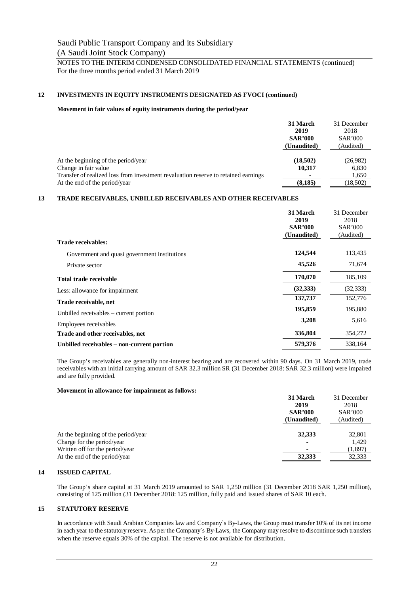# **12 INVESTMENTS IN EQUITY INSTRUMENTS DESIGNATED AS FVOCI (continued)**

# **Movement in fair values of equity instruments during the period/year**

|                                                                                    | 31 March<br>2019<br><b>SAR'000</b><br>(Unaudited) | 31 December<br>2018<br><b>SAR'000</b><br>(Audited) |
|------------------------------------------------------------------------------------|---------------------------------------------------|----------------------------------------------------|
| At the beginning of the period/year                                                | (18,502)                                          | (26,982)                                           |
| Change in fair value                                                               | 10,317                                            | 6,830                                              |
| Transfer of realized loss from investment revaluation reserve to retained earnings | $\blacksquare$                                    | 1,650                                              |
| At the end of the period/year                                                      | (8, 185)                                          | (18,502)                                           |

# **13 TRADE RECEIVABLES, UNBILLED RECEIVABLES AND OTHER RECEIVABLES**

|                                              | 31 March<br>2019<br><b>SAR'000</b><br>(Unaudited) | 31 December<br>2018<br><b>SAR'000</b><br>(Audited) |
|----------------------------------------------|---------------------------------------------------|----------------------------------------------------|
| Trade receivables:                           |                                                   |                                                    |
| Government and quasi government institutions | 124,544                                           | 113,435                                            |
| Private sector                               | 45,526                                            | 71,674                                             |
| <b>Total trade receivable</b>                | 170,070                                           | 185,109                                            |
| Less: allowance for impairment               | (32, 333)                                         | (32, 333)                                          |
| Trade receivable, net                        | 137,737                                           | 152,776                                            |
| Unbilled receivables – current portion       | 195,859                                           | 195,880                                            |
| Employees receivables                        | 3,208                                             | 5,616                                              |
| Trade and other receivables, net             | 336,804                                           | 354,272                                            |
| Unbilled receivables – non-current portion   | 579,376                                           | 338,164                                            |

The Group's receivables are generally non-interest bearing and are recovered within 90 days. On 31 March 2019, trade receivables with an initial carrying amount of SAR 32.3 million SR (31 December 2018: SAR 32.3 million) were impaired and are fully provided.

#### **Movement in allowance for impairment as follows:**

|                                     | 31 March       | 31 December    |
|-------------------------------------|----------------|----------------|
|                                     | 2019           | 2018           |
|                                     | <b>SAR'000</b> | <b>SAR'000</b> |
|                                     | (Unaudited)    | (Audited)      |
|                                     |                |                |
| At the beginning of the period/year | 32,333         | 32,801         |
| Charge for the period/year          | -              | 1.429          |
| Written off for the period/year     |                | (1,897)        |
| At the end of the period/year       | 32,333         | 32.333         |
|                                     |                |                |

# **14 ISSUED CAPITAL**

The Group's share capital at 31 March 2019 amounted to SAR 1,250 million (31 December 2018 SAR 1,250 million), consisting of 125 million (31 December 2018: 125 million, fully paid and issued shares of SAR 10 each.

# **15 STATUTORY RESERVE**

In accordance with Saudi Arabian Companies law and Company`s By-Laws, the Group must transfer 10% of its net income in each year to the statutory reserve. As per the Company`s By-Laws, the Company may resolve to discontinue such transfers when the reserve equals 30% of the capital. The reserve is not available for distribution.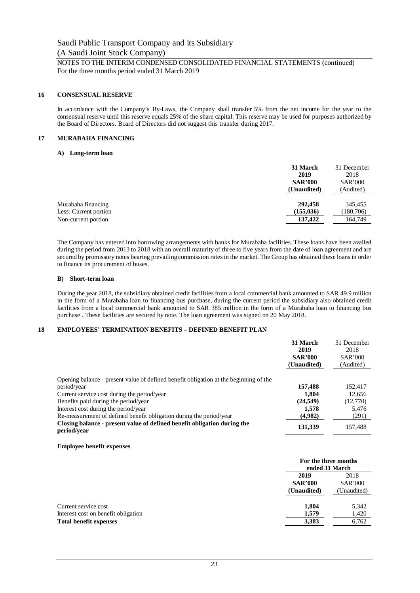# **16 CONSENSUAL RESERVE**

In accordance with the Company's By-Laws, the Company shall transfer 5% from the net income for the year to the consensual reserve until this reserve equals 25% of the share capital. This reserve may be used for purposes authorized by the Board of Directors. Board of Directors did not suggest this transfer during 2017.

# **17 MURABAHA FINANCING**

#### **A) Long-term loan**

|                       | 31 March<br>2019<br><b>SAR'000</b><br>(Unaudited) | 31 December<br>2018<br><b>SAR'000</b><br>(Audited) |
|-----------------------|---------------------------------------------------|----------------------------------------------------|
| Murabaha financing    | 292,458                                           | 345.455                                            |
| Less: Current portion | (155, 036)                                        | (180, 706)                                         |
| Non-current portion   | 137,422                                           | 164,749                                            |

The Company has entered into borrowing arrangements with banks for Murabaha facilities. These loans have been availed during the period from 2013 to 2018 with an overall maturity of three to five years from the date of loan agreement and are secured by promissory notes bearing prevailing commission rates in the market. The Group has obtained these loans in order to finance its procurement of buses.

#### **B) Short-term loan**

During the year 2018, the subsidiary obtained credit facilities from a local commercial bank amounted to SAR 49.9 million in the form of a Murabaha loan to financing bus purchase, during the current period the subsidiary also obtained credit facilities from a local commercial bank amounted to SAR 385 million in the form of a Murabaha loan to financing bus purchase . These facilities are secured by note. The loan agreement was signed on 20 May 2018.

# **18 EMPLOYEES' TERMINATION BENEFITS – DEFINED BENEFIT PLAN**

|                                                                                         | 31 March<br>2019<br><b>SAR'000</b><br>(Unaudited) | 31 December<br>2018<br><b>SAR'000</b><br>(Audited) |
|-----------------------------------------------------------------------------------------|---------------------------------------------------|----------------------------------------------------|
|                                                                                         |                                                   |                                                    |
| Opening balance - present value of defined benefit obligation at the beginning of the   |                                                   |                                                    |
| period/year                                                                             | 157,488                                           | 152.417                                            |
| Current service cost during the period/year                                             | 1.804                                             | 12,656                                             |
| Benefits paid during the period/year                                                    | (24, 549)                                         | (12,770)                                           |
| Interest cost during the period/year                                                    | 1,578                                             | 5,476                                              |
| Re-measurement of defined benefit obligation during the period/year                     | (4,982)                                           | (291)                                              |
| Closing balance - present value of defined benefit obligation during the<br>period/vear | 131,339                                           | 157,488                                            |

#### **Employee benefit expenses**

|                                     |                | For the three months<br>ended 31 March |  |
|-------------------------------------|----------------|----------------------------------------|--|
|                                     | 2019           | 2018                                   |  |
|                                     | <b>SAR'000</b> | <b>SAR'000</b>                         |  |
|                                     | (Unaudited)    | (Unaudited)                            |  |
| Current service cost                | 1.804          | 5,342                                  |  |
| Interest cost on benefit obligation | 1,579          | 1,420                                  |  |
| <b>Total benefit expenses</b>       | 3,383          | 6,762                                  |  |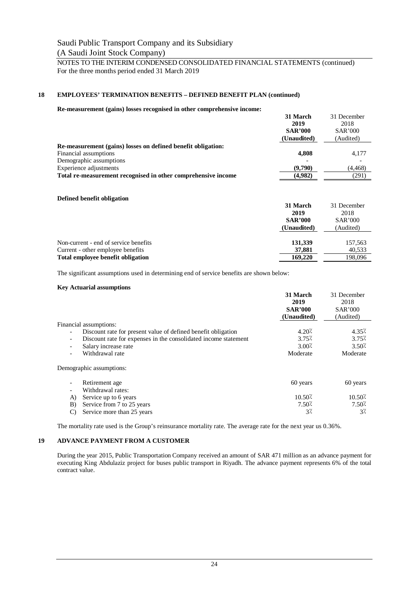# **18 EMPLOYEES' TERMINATION BENEFITS – DEFINED BENEFIT PLAN (continued)**

#### **Re-measurement (gains) losses recognised in other comprehensive income:**

|                                                               | 31 March       | 31 December    |
|---------------------------------------------------------------|----------------|----------------|
|                                                               | 2019           | 2018           |
|                                                               | <b>SAR'000</b> | <b>SAR'000</b> |
|                                                               | (Unaudited)    | (Audited)      |
| Re-measurement (gains) losses on defined benefit obligation:  |                |                |
| Financial assumptions                                         | 4.808          | 4.177          |
| Demographic assumptions                                       |                |                |
| Experience adjustments                                        | (9,790)        | (4, 468)       |
| Total re-measurement recognised in other comprehensive income | (4,982)        | (291)          |

# **Defined benefit obligation**

|                                       | 31 March       | 31 December    |
|---------------------------------------|----------------|----------------|
|                                       | 2019           | 2018           |
|                                       | <b>SAR'000</b> | <b>SAR'000</b> |
|                                       | (Unaudited)    | (Audited)      |
|                                       |                |                |
| Non-current - end of service benefits | 131,339        | 157,563        |
| Current - other employee benefits     | 37,881         | 40,533         |
| Total employee benefit obligation     | 169,220        | 198,096        |

The significant assumptions used in determining end of service benefits are shown below:

#### **Key Actuarial assumptions**

|                                                                 | 31 March<br>2019<br><b>SAR'000</b><br>(Unaudited) | 31 December<br>2018<br><b>SAR'000</b><br>(Audited) |
|-----------------------------------------------------------------|---------------------------------------------------|----------------------------------------------------|
| Financial assumptions:                                          |                                                   |                                                    |
| Discount rate for present value of defined benefit obligation   | $4.20\%$                                          | $4.35\%$                                           |
| Discount rate for expenses in the consolidated income statement | 3.75%                                             | 3.75%                                              |
| Salary increase rate                                            | $3.00\%$                                          | $3.50\%$                                           |
| Withdrawal rate                                                 | Moderate                                          | Moderate                                           |
| Demographic assumptions:                                        |                                                   |                                                    |
| Retirement age                                                  | 60 years                                          | 60 years                                           |
| Withdrawal rates:                                               |                                                   |                                                    |
| Service up to 6 years<br>A)                                     | $10.50\%$                                         | $10.50$ <sup>7</sup> .                             |
| Service from 7 to 25 years<br>B)                                | $7.50\%$                                          | $7.50\%$                                           |
| Service more than 25 years<br>C)                                | 37                                                | $3\%$                                              |

The mortality rate used is the Group's reinsurance mortality rate. The average rate for the next year us 0.36%.

# **19 ADVANCE PAYMENT FROM A CUSTOMER**

During the year 2015, Public Transportation Company received an amount of SAR 471 million as an advance payment for executing King Abdulaziz project for buses public transport in Riyadh. The advance payment represents 6% of the total contract value.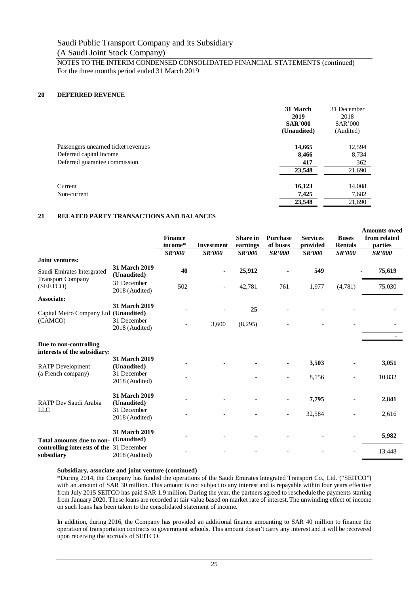# Saudi Public Transport Company and its Subsidiary

# (A Saudi Joint Stock Company)

# NOTES TO THE INTERIM CONDENSED CONSOLIDATED FINANCIAL STATEMENTS (continued) For the three months period ended 31 March 2019

# **20 DEFERRED REVENUE**

|                                     | 31 March<br>2019<br><b>SAR'000</b><br>(Unaudited) | 31 December<br>2018<br><b>SAR'000</b><br>(Audited) |
|-------------------------------------|---------------------------------------------------|----------------------------------------------------|
| Passengers unearned ticket revenues | 14,665                                            | 12,594                                             |
| Deferred capital income             | 8,466                                             | 8,734                                              |
| Deferred guarantee commission       | 417                                               | 362                                                |
|                                     | 23,548                                            | 21,690                                             |
| Current                             | 16,123                                            | 14,008                                             |
| Non-current                         | 7,425                                             | 7,682                                              |
|                                     | 23,548                                            | 21,690                                             |

# **21 RELATED PARTY TRANSACTIONS AND BALANCES**

|                                                        |                                     | <b>Finance</b><br>income*<br><b>SR'000</b> | <b>Investment</b><br><b>SR'000</b> | <b>Share</b> in<br>earnings<br><b>SR'000</b> | <b>Purchase</b><br>of buses<br><b>SR'000</b> | <b>Services</b><br>provided<br><b>SR'000</b> | <b>Buses</b><br><b>Rentals</b><br><b>SR'000</b> | <b>Amounts owed</b><br>from related<br>parties<br><b>SR'000</b> |
|--------------------------------------------------------|-------------------------------------|--------------------------------------------|------------------------------------|----------------------------------------------|----------------------------------------------|----------------------------------------------|-------------------------------------------------|-----------------------------------------------------------------|
| Joint ventures:                                        |                                     |                                            |                                    |                                              |                                              |                                              |                                                 |                                                                 |
| Saudi Emirates Intergrated<br><b>Transport Company</b> | 31 March 2019<br>(Unaudited)        | 40                                         |                                    | 25,912                                       |                                              | 549                                          |                                                 | 75,619                                                          |
| (SEETCO)                                               | 31 December<br>2018 (Audited)       | 502                                        |                                    | 42,781                                       | 761                                          | 1,977                                        | (4,781)                                         | 75,030                                                          |
| <b>Associate:</b>                                      |                                     |                                            |                                    |                                              |                                              |                                              |                                                 |                                                                 |
| Capital Metro Company Ltd (Unaudited)                  | <b>31 March 2019</b>                |                                            |                                    | 25                                           |                                              |                                              |                                                 |                                                                 |
| (CAMCO)                                                | 31 December<br>2018 (Audited)       |                                            | 3,600                              | (8,295)                                      |                                              |                                              |                                                 |                                                                 |
|                                                        |                                     |                                            |                                    |                                              |                                              |                                              |                                                 |                                                                 |
| Due to non-controlling<br>interests of the subsidiary: |                                     |                                            |                                    |                                              |                                              |                                              |                                                 |                                                                 |
|                                                        | 31 March 2019                       |                                            |                                    |                                              |                                              | 3,503                                        |                                                 | 3,051                                                           |
| <b>RATP</b> Development                                | (Unaudited)                         |                                            |                                    |                                              |                                              |                                              |                                                 |                                                                 |
| (a French company)                                     | 31 December<br>2018 (Audited)       |                                            |                                    |                                              | $\overline{\phantom{a}}$                     | 8,156                                        |                                                 | 10,832                                                          |
| <b>RATP Dev Saudi Arabia</b>                           | <b>31 March 2019</b><br>(Unaudited) |                                            |                                    |                                              |                                              | 7,795                                        |                                                 | 2,841                                                           |
| <b>LLC</b>                                             | 31 December<br>2018 (Audited)       |                                            |                                    |                                              |                                              | 32,584                                       |                                                 | 2,616                                                           |
| Total amounts due to non-                              | 31 March 2019<br>(Unaudited)        |                                            |                                    |                                              |                                              |                                              |                                                 | 5,982                                                           |
| controlling interests of the 31 December<br>subsidiary | 2018 (Audited)                      |                                            |                                    |                                              |                                              |                                              |                                                 | 13,448                                                          |

# **Subsidiary, associate and joint venture (continued)**

\*During 2014, the Company has funded the operations of the Saudi Emirates Integrated Transport Co., Ltd. ("SEITCO") with an amount of SAR 30 million. This amount is not subject to any interest and is repayable within four years effective from July 2015 SEITCO has paid SAR 1.9 million. During the year, the partners agreed to reschedule the payments starting from January 2020. These loans are recorded at fair value based on market rate of interest. The unwinding effect of income on such loans has been taken to the consolidated statement of income.

In addition, during 2016, the Company has provided an additional finance amounting to SAR 40 million to finance the operation of transportation contracts to government schools. This amount doesn't carry any interest and it will be recovered upon receiving the accruals of SEITCO.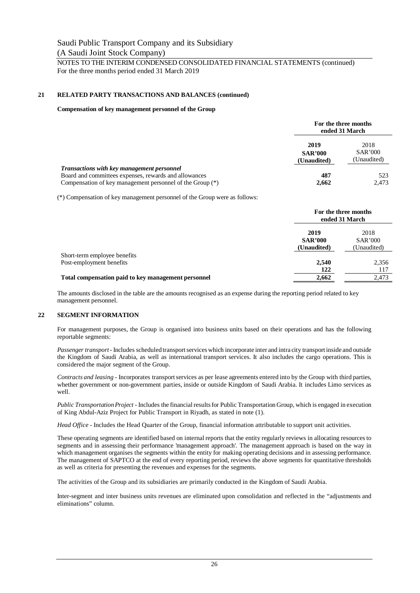# **21 RELATED PARTY TRANSACTIONS AND BALANCES (continued)**

#### **Compensation of key management personnel of the Group**

|                                                                                                                                                                         |                                       | For the three months<br>ended 31 March |
|-------------------------------------------------------------------------------------------------------------------------------------------------------------------------|---------------------------------------|----------------------------------------|
|                                                                                                                                                                         | 2019<br><b>SAR'000</b><br>(Unaudited) | 2018<br><b>SAR'000</b><br>(Unaudited)  |
| <b>Transactions with key management personnel</b><br>Board and committees expenses, rewards and allowances<br>Compensation of key management personnel of the Group (*) | 487<br>2,662                          | 523<br>2,473                           |

(\*) Compensation of key management personnel of the Group were as follows:

|                                                     |                                       | For the three months<br>ended 31 March |
|-----------------------------------------------------|---------------------------------------|----------------------------------------|
|                                                     | 2019<br><b>SAR'000</b><br>(Unaudited) | 2018<br>SAR'000<br>(Unaudited)         |
| Short-term employee benefits                        |                                       |                                        |
| Post-employment benefits                            | 2,540                                 | 2,356                                  |
|                                                     | 122                                   | 117                                    |
| Total compensation paid to key management personnel | 2,662                                 | 2.473                                  |

The amounts disclosed in the table are the amounts recognised as an expense during the reporting period related to key management personnel.

# **22 SEGMENT INFORMATION**

For management purposes, the Group is organised into business units based on their operations and has the following reportable segments:

*Passenger transport* - Includes scheduled transport services which incorporate inter and intra city transport inside and outside the Kingdom of Saudi Arabia, as well as international transport services. It also includes the cargo operations. This is considered the major segment of the Group.

*Contracts and leasing* - Incorporates transport services as per lease agreements entered into by the Group with third parties, whether government or non-government parties, inside or outside Kingdom of Saudi Arabia. It includes Limo services as well.

*Public Transportation Project* - Includes the financial results for Public Transportation Group, which is engaged in execution of King Abdul-Aziz Project for Public Transport in Riyadh, as stated in note (1).

*Head Office* - Includes the Head Quarter of the Group, financial information attributable to support unit activities.

These operating segments are identified based on internal reports that the entity regularly reviews in allocating resources to segments and in assessing their performance 'management approach'. The management approach is based on the way in which management organises the segments within the entity for making operating decisions and in assessing performance. The management of SAPTCO at the end of every reporting period, reviews the above segments for quantitative thresholds as well as criteria for presenting the revenues and expenses for the segments.

The activities of the Group and its subsidiaries are primarily conducted in the Kingdom of Saudi Arabia.

Inter-segment and inter business units revenues are eliminated upon consolidation and reflected in the "adjustments and eliminations" column.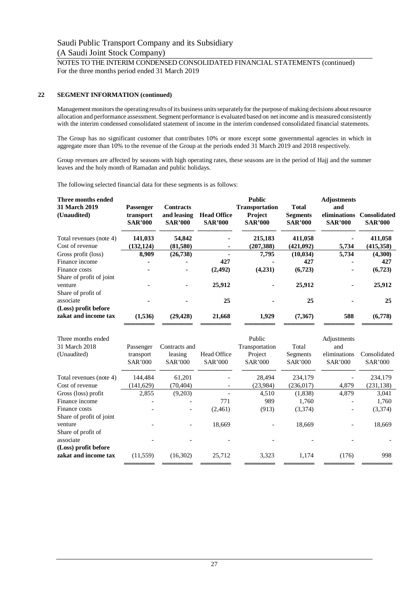# **22 SEGMENT INFORMATION (continued)**

Management monitors the operating results of its business units separately for the purpose of making decisions about resource allocation and performance assessment. Segment performance is evaluated based on net income and is measured consistently with the interim condensed consolidated statement of income in the interim condensed consolidated financial statements.

The Group has no significant customer that contributes 10% or more except some governmental agencies in which in aggregate more than 10% to the revenue of the Group at the periods ended 31 March 2019 and 2018 respectively.

Group revenues are affected by seasons with high operating rates, these seasons are in the period of Hajj and the summer leaves and the holy month of Ramadan and public holidays.

The following selected financial data for these segments is as follows:

| Three months ended<br><b>31 March 2019</b><br>(Unaudited) | <b>Passenger</b><br>transport<br><b>SAR'000</b> | <b>Contracts</b><br>and leasing<br><b>SAR'000</b> | <b>Head Office</b><br><b>SAR'000</b> | <b>Public</b><br><b>Transportation</b><br><b>Project</b><br><b>SAR'000</b> | <b>Total</b><br><b>Segments</b><br><b>SAR'000</b> | <b>Adjustments</b><br>and<br>eliminations<br><b>SAR'000</b> | <b>Consolidated</b><br><b>SAR'000</b> |
|-----------------------------------------------------------|-------------------------------------------------|---------------------------------------------------|--------------------------------------|----------------------------------------------------------------------------|---------------------------------------------------|-------------------------------------------------------------|---------------------------------------|
| Total revenues (note 4)                                   | 141,033                                         | 54,842                                            |                                      | 215,183                                                                    | 411,058                                           |                                                             | 411,058                               |
| Cost of revenue                                           | (132, 124)                                      | (81,580)                                          |                                      | (207, 388)                                                                 | (421,092)                                         | 5,734                                                       | (415,358)                             |
| Gross profit (loss)                                       | 8,909                                           | (26, 738)                                         |                                      | 7,795                                                                      | (10, 034)                                         | 5,734                                                       | (4,300)                               |
| Finance income                                            |                                                 |                                                   | 427                                  |                                                                            | 427                                               |                                                             | 427                                   |
| Finance costs<br>Share of profit of joint                 |                                                 |                                                   | (2, 492)                             | (4,231)                                                                    | (6,723)                                           |                                                             | (6,723)                               |
| venture<br>Share of profit of                             |                                                 |                                                   | 25,912                               |                                                                            | 25,912                                            |                                                             | 25,912                                |
| associate                                                 |                                                 |                                                   | 25                                   |                                                                            | 25                                                |                                                             | 25                                    |
| (Loss) profit before<br>zakat and income tax              | (1,536)                                         | (29, 428)                                         | 21,668                               | 1,929                                                                      | (7,367)                                           | 588                                                         | (6,778)                               |

| Three months ended       |                |                |                | Public         |                | Adjustments    |                |
|--------------------------|----------------|----------------|----------------|----------------|----------------|----------------|----------------|
| 31 March 2018            | Passenger      | Contracts and  |                | Transportation | Total          | and            |                |
| (Unaudited)              | transport      | leasing        | Head Office    | Project        | Segments       | eliminations   | Consolidated   |
|                          | <b>SAR'000</b> | <b>SAR'000</b> | <b>SAR'000</b> | <b>SAR'000</b> | <b>SAR'000</b> | <b>SAR'000</b> | <b>SAR'000</b> |
| Total revenues (note 4)  | 144.484        | 61,201         |                | 28,494         | 234,179        |                | 234,179        |
| Cost of revenue          | (141, 629)     | (70, 404)      |                | (23,984)       | (236, 017)     | 4,879          | (231, 138)     |
| Gross (loss) profit      | 2,855          | (9,203)        |                | 4,510          | (1,838)        | 4,879          | 3,041          |
| Finance income           |                |                | 771            | 989            | 1,760          |                | 1,760          |
| Finance costs            |                |                | (2,461)        | (913)          | (3,374)        |                | (3,374)        |
| Share of profit of joint |                |                |                |                |                |                |                |
| venture                  |                |                | 18,669         |                | 18,669         |                | 18,669         |
| Share of profit of       |                |                |                |                |                |                |                |
| associate                |                |                |                |                |                |                |                |
| (Loss) profit before     |                |                |                |                |                |                |                |
| zakat and income tax     | (11, 559)      | (16,302)       | 25,712         | 3,323          | 1,174          | (176)          | 998            |
|                          |                |                |                |                |                |                |                |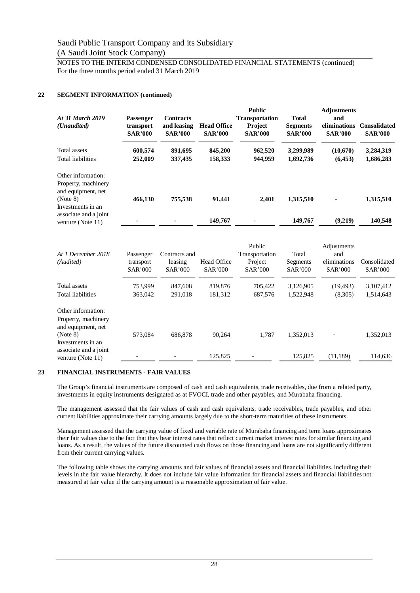NOTES TO THE INTERIM CONDENSED CONSOLIDATED FINANCIAL STATEMENTS (continued) For the three months period ended 31 March 2019

# **22 SEGMENT INFORMATION (continued)**

| At 31 March 2019<br>( <i>Unaudited</i> )                                                         | <b>Passenger</b><br>transport<br><b>SAR'000</b> | <b>Contracts</b><br>and leasing<br><b>SAR'000</b> | <b>Head Office</b><br><b>SAR'000</b> | <b>Public</b><br><b>Transportation</b><br><b>Project</b><br><b>SAR'000</b> | <b>Total</b><br><b>Segments</b><br><b>SAR'000</b> | <b>Adjustments</b><br>and<br>eliminations<br><b>SAR'000</b> | <b>Consolidated</b><br><b>SAR'000</b> |
|--------------------------------------------------------------------------------------------------|-------------------------------------------------|---------------------------------------------------|--------------------------------------|----------------------------------------------------------------------------|---------------------------------------------------|-------------------------------------------------------------|---------------------------------------|
| Total assets                                                                                     | 600,574                                         | 891,695                                           | 845,200                              | 962,520                                                                    | 3,299,989                                         | (10,670)                                                    | 3,284,319                             |
| <b>Total liabilities</b>                                                                         | 252,009                                         | 337,435                                           | 158,333                              | 944,959                                                                    | 1,692,736                                         | (6, 453)                                                    | 1,686,283                             |
| Other information:<br>Property, machinery<br>and equipment, net<br>(Note 8)<br>Investments in an | 466,130                                         | 755,538                                           | 91,441                               | 2.401                                                                      | 1,315,510                                         |                                                             | 1,315,510                             |
| associate and a joint<br>venture (Note 11)                                                       |                                                 |                                                   | 149,767                              |                                                                            | 149,767                                           | (9,219)                                                     | 140,548                               |

| At 1 December 2018<br>(Audited)                                 | Passenger<br>transport<br><b>SAR'000</b> | Contracts and<br>leasing<br><b>SAR'000</b> | <b>Head Office</b><br><b>SAR'000</b> | Public<br>Transportation<br>Project<br><b>SAR'000</b> | Total<br>Segments<br><b>SAR'000</b> | Adjustments<br>and<br>eliminations<br><b>SAR'000</b> | Consolidated<br><b>SAR'000</b> |
|-----------------------------------------------------------------|------------------------------------------|--------------------------------------------|--------------------------------------|-------------------------------------------------------|-------------------------------------|------------------------------------------------------|--------------------------------|
| Total assets                                                    | 753,999                                  | 847,608                                    | 819,876                              | 705,422                                               | 3,126,905                           | (19, 493)                                            | 3,107,412                      |
| Total liabilities                                               | 363,042                                  | 291,018                                    | 181,312                              | 687,576                                               | 1,522,948                           | (8,305)                                              | 1,514,643                      |
| Other information:<br>Property, machinery<br>and equipment, net |                                          |                                            |                                      |                                                       |                                     |                                                      |                                |
| (Note 8)                                                        | 573.084                                  | 686,878                                    | 90,264                               | 1,787                                                 | 1,352,013                           |                                                      | 1,352,013                      |
| Investments in an<br>associate and a joint<br>venture (Note 11) |                                          |                                            | 125,825                              |                                                       | 125,825                             | (11,189)                                             | 114,636                        |

# **23 FINANCIAL INSTRUMENTS - FAIR VALUES**

The Group's financial instruments are composed of cash and cash equivalents, trade receivables, due from a related party, investments in equity instruments designated as at FVOCI, trade and other payables, and Murabaha financing.

The management assessed that the fair values of cash and cash equivalents, trade receivables, trade payables, and other current liabilities approximate their carrying amounts largely due to the short-term maturities of these instruments.

Management assessed that the carrying value of fixed and variable rate of Murabaha financing and term loans approximates their fair values due to the fact that they bear interest rates that reflect current market interest rates for similar financing and loans. As a result, the values of the future discounted cash flows on those financing and loans are not significantly different from their current carrying values.

The following table shows the carrying amounts and fair values of financial assets and financial liabilities, including their levels in the fair value hierarchy. It does not include fair value information for financial assets and financial liabilities not measured at fair value if the carrying amount is a reasonable approximation of fair value.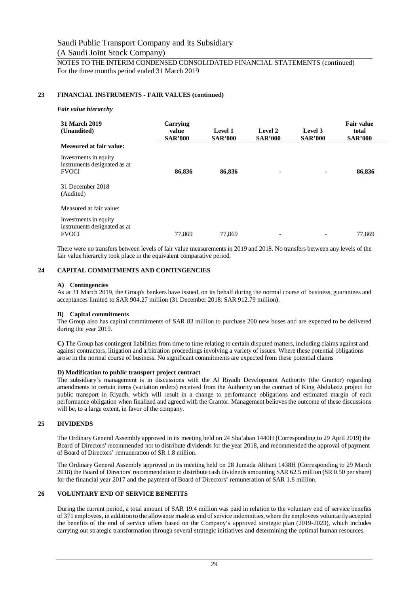# **23 FINANCIAL INSTRUMENTS - FAIR VALUES (continued)**

#### *Fair value hierarchy*

| 31 March 2019<br>(Unaudited)                                          | Carrying<br>value<br><b>SAR'000</b> | Level 1<br><b>SAR'000</b> | Level 2<br><b>SAR'000</b> | Level 3<br><b>SAR'000</b> | <b>Fair value</b><br>total<br><b>SAR'000</b> |
|-----------------------------------------------------------------------|-------------------------------------|---------------------------|---------------------------|---------------------------|----------------------------------------------|
| Measured at fair value:                                               |                                     |                           |                           |                           |                                              |
| Investments in equity<br>instruments designated as at<br><b>FVOCI</b> | 86,836                              | 86,836                    | $\blacksquare$            |                           | 86,836                                       |
| 31 December 2018<br>(Audited)                                         |                                     |                           |                           |                           |                                              |
| Measured at fair value:                                               |                                     |                           |                           |                           |                                              |
| Investments in equity<br>instruments designated as at<br><b>FVOCI</b> | 77,869                              | 77,869                    | $\overline{\phantom{0}}$  |                           | 77.869                                       |

There were no transfers between levels of fair value measurements in 2019 and 2018. No transfers between any levels of the fair value hierarchy took place in the equivalent comparative period.

# **24 CAPITAL COMMITMENTS AND CONTINGENCIES**

#### **A) Contingencies**

As at 31 March 2019, the Group's bankers have issued, on its behalf during the normal course of business, guarantees and acceptances limited to SAR 904.27 million (31 December 2018: SAR 912.79 million).

# **B) Capital commitments**

The Group also has capital commitments of SAR 83 million to purchase 200 new buses and are expected to be delivered during the year 2019.

**C)** The Group has contingent liabilities from time to time relating to certain disputed matters, including claims against and against contractors, litigation and arbitration proceedings involving a variety of issues. Where these potential obligations arose in the normal course of business. No significant commitments are expected from these potential claims

# **D) Modification to public transport project contract**

The subsidiary's management is in discussions with the Al Riyadh Development Authority (the Grantor) regarding amendments to certain items (variation orders) received from the Authority on the contract of King Abdulaziz project for public transport in Riyadh, which will result in a change to performance obligations and estimated margin of each performance obligation when finalized and agreed with the Grantor. Management believes the outcome of these discussions will be, to a large extent, in favor of the company.

# **25 DIVIDENDS**

The Ordinary General Assembly approved in its meeting held on 24 Sha'aban 1440H (Corresponding to 29 April 2019) the Board of Directors' recommended not to distribute dividends for the year 2018, and recommended the approval of payment of Board of Directors' remuneration of SR 1.8 million.

The Ordinary General Assembly approved in its meeting held on 28 Jumada Althani 1438H (Corresponding to 29 March 2018) the Board of Directors' recommendation to distribute cash dividends amounting SAR 62.5 million (SR 0.50 per share) for the financial year 2017 and the payment of Board of Directors' remuneration of SAR 1.8 million.

# **26 VOLUNTARY END OF SERVICE BENEFITS**

During the current period, a total amount of SAR 19.4 million was paid in relation to the voluntary end of service benefits of 371 employees, in addition to the allowance made as end of service indemnities, where the employees voluntarily accepted the benefits of the end of service offers based on the Company's approved strategic plan (2019-2023), which includes carrying out strategic transformation through several strategic initiatives and determining the optimal human resources.